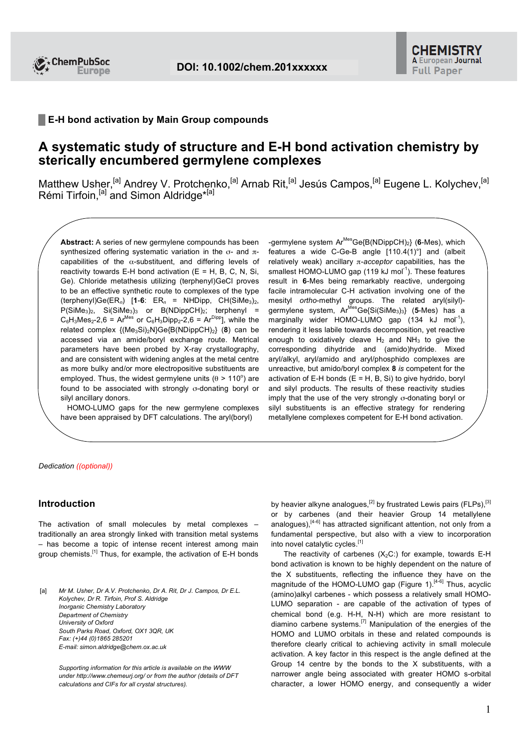

## **█ E-H bond activation by Main Group compounds**

## **A systematic study of structure and E-H bond activation chemistry by sterically encumbered germylene complexes**

Matthew Usher,<sup>[a]</sup> Andrey V. Protchenko,<sup>[a]</sup> Arnab Rit,<sup>[a]</sup> Jesús Campos,<sup>[a]</sup> Eugene L. Kolychev,<sup>[a]</sup> Rémi Tirfoin,<sup>[a]</sup> and Simon Aldridge<sup>\*[a]</sup>

**Abstract:** A series of new germylene compounds has been synthesized offering systematic variation in the σ- and  $π$ capabilities of the  $\alpha$ -substituent, and differing levels of reactivity towards E-H bond activation  $(E = H, B, C, N, Si,$ Ge). Chloride metathesis utilizing (terphenyl)GeCl proves to be an effective synthetic route to complexes of the type  $(\text{terphenyl})Ge(ER_n)$  [1-6:  $ER_n = \text{NHDipp}$ ,  $CH(SiMe_3)_2$ ,  $P(SiMe<sub>3</sub>)<sub>2</sub>$ , Si(SiMe<sub>3</sub>)<sub>3</sub> or B(NDippCH)<sub>2</sub>; terphenyl =  $C_6H_3Mes_2-2,6 = Ar^{Mes}$  or  $C_6H_3Dipp_2-2,6 = Ar^{ Dip}$ ], while the related complex {(Me<sub>3</sub>Si)<sub>2</sub>N}Ge{B(NDippCH)<sub>2</sub>} (8) can be accessed via an amide/boryl exchange route. Metrical parameters have been probed by X-ray crystallography, and are consistent with widening angles at the metal centre as more bulky and/or more electropositive substituents are employed. Thus, the widest germylene units ( $\theta$  > 110°) are found to be associated with strongly σ-donating boryl or silyl ancillary donors.

 HOMO-LUMO gaps for the new germylene complexes have been appraised by DFT calculations. The aryl(boryl)

-germylene system Ar<sup>Mes</sup>Ge{B(NDippCH)<sub>2</sub>} (6-Mes), which features a wide C-Ge-B angle [110.4(1)°] and (albeit relatively weak) ancillary π-*acceptor* capabilities, has the smallest HOMO-LUMO gap  $(119 \text{ kJ mol}^{-1})$ . These features result in **6**-Mes being remarkably reactive, undergoing facile intramolecular C-H activation involving one of the mesityl *ortho*-methyl groups. The related aryl(silyl) germylene system, Ar<sup>Mes</sup>Ge{Si(SiMe<sub>3</sub>)<sub>3</sub>} (5-Mes) has a marginally wider HOMO-LUMO gap  $(134 \text{ kJ mol}^{-1})$ , rendering it less labile towards decomposition, yet reactive enough to oxidatively cleave  $H_2$  and NH<sub>3</sub> to give the corresponding dihydride and (amido)hydride. Mixed aryl/alkyl, aryl/amido and aryl/phosphido complexes are unreactive, but amido/boryl complex **8** *is* competent for the activation of E-H bonds  $(E = H, B, S)$  to give hydrido, boryl and silyl products. The results of these reactivity studies imply that the use of the very strongly σ-donating boryl or silyl substituents is an effective strategy for rendering metallylene complexes competent for E-H bond activation.

#### *Dedication ((optional))*

## **Introduction**

The activation of small molecules by metal complexes – traditionally an area strongly linked with transition metal systems – has become a topic of intense recent interest among main group chemists.[1] Thus, for example, the activation of E-H bonds

[a] Mr M. Usher, Dr A.V. Protchenko, Dr A. Rit, Dr J. Campos, Dr E.L. *Kolychev, Dr R. Tirfoin, Prof S. Aldridge Inorganic Chemistry Laboratory Department of Chemistry University of Oxford South Parks Road, Oxford, OX1 3QR, UK Fax: (+)44 (0)1865 285201 E-mail: simon.aldridge@chem.ox.ac.uk*

*Supporting information for this article is available on the WWW under http://www.chemeurj.org/ or from the author (details of DFT calculations and CIFs for all crystal structures).*

by heavier alkyne analogues,<sup>[2]</sup> by frustrated Lewis pairs (FLPs),<sup>[3]</sup> or by carbenes (and their heavier Group 14 metallylene analogues),<sup>[4-6]</sup> has attracted significant attention, not only from a fundamental perspective, but also with a view to incorporation into novel catalytic cycles.<sup>[1]</sup>

The reactivity of carbenes  $(X_2C)$  for example, towards E-H bond activation is known to be highly dependent on the nature of the X substituents, reflecting the influence they have on the magnitude of the HOMO-LUMO gap (Figure 1).<sup>[4-6]</sup> Thus, acyclic (amino)alkyl carbenes - which possess a relatively small HOMO-LUMO separation - are capable of the activation of types of chemical bond (e.g. H-H, N-H) which are more resistant to diamino carbene systems.[7] Manipulation of the energies of the HOMO and LUMO orbitals in these and related compounds is therefore clearly critical to achieving activity in small molecule activation. A key factor in this respect is the angle defined at the Group 14 centre by the bonds to the X substituents, with a narrower angle being associated with greater HOMO s-orbital character, a lower HOMO energy, and consequently a wider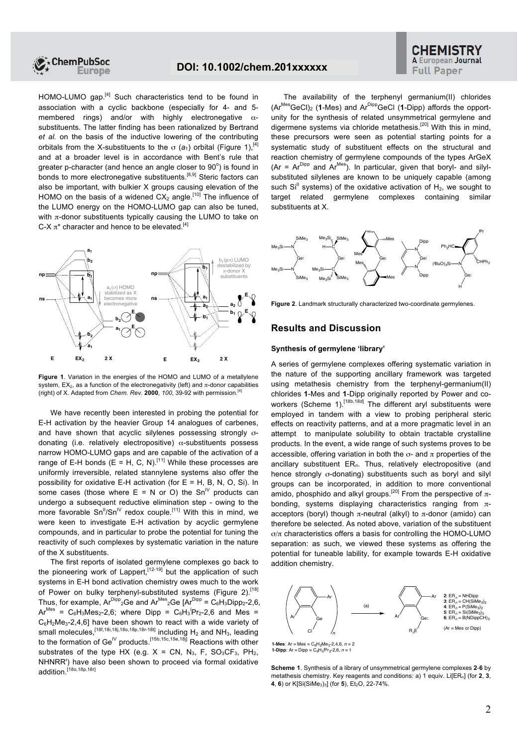

# **A European Journal Full Paper**

HOMO-LUMO gap.<sup>[4]</sup> Such characteristics tend to be found in association with a cyclic backbone (especially for 4- and 5 membered rings) and/or with highly electronegative  $\alpha$ substituents. The latter finding has been rationalized by Bertrand *et al.* on the basis of the inductive lowering of the contributing orbitals from the X-substituents to the  $\sigma$  ( $a_1$ ) orbital (Figure 1).<sup>[4]</sup> and at a broader level is in accordance with Bent's rule that greater p-character (and hence an angle closer to  $90^\circ$ ) is found in bonds to more electronegative substituents.<sup>[8,9]</sup> Steric factors can also be important, with bulkier X groups causing elevation of the HOMO on the basis of a widened  $CX<sub>2</sub>$  angle.<sup>[10]</sup> The influence of the LUMO energy on the HOMO-LUMO gap can also be tuned, with  $\pi$ -donor substituents typically causing the LUMO to take on C-X  $\pi^*$  character and hence to be elevated.<sup>[4]</sup>



**Figure 1**. Variation in the energies of the HOMO and LUMO of a metallylene system,  $EX_2$ , as a function of the electronegativity (left) and  $\pi$ -donor capabilities (right) of X. Adapted from *Chem. Rev.* **2000**, *100*, 39-92 with permission.[4]

We have recently been interested in probing the potential for E-H activation by the heavier Group 14 analogues of carbenes, and have shown that acyclic silylenes possessing strongly σdonating (i.e. relatively electropositive)  $\alpha$ -substituents possess narrow HOMO-LUMO gaps and are capable of the activation of a range of E-H bonds (E = H, C, N).<sup>[11]</sup> While these processes are uniformly irreversible, related stannylene systems also offer the possibility for oxidative E-H activation (for  $E = H$ , B, N, O, Si). In some cases (those where  $E = N$  or O) the Sn<sup>IV</sup> products can undergo a subsequent reductive elimination step - owing to the more favorable  $Sn^{\text{II}}/Sn^{\text{IV}}$  redox couple.<sup>[11]</sup> With this in mind, we were keen to investigate E-H activation by acyclic germylene compounds, and in particular to probe the potential for tuning the reactivity of such complexes by systematic variation in the nature of the X substituents.

The first reports of isolated germylene complexes go back to the pioneering work of Lappert,  $[12-19]$  but the application of such systems in E-H bond activation chemistry owes much to the work of Power on bulky terphenyl-substituted systems (Figure 2).<sup>[18]</sup> Thus, for example,  $Ar^{Dipp}$ <sub>2</sub>Ge and  $Ar^{Mes}$ <sub>2</sub>Ge  $Ar^{Dipp} = C_6H_3Dipp_2-2,6$ ,  $Ar^{Mes}$  =  $C_6H_3Mes_2$ -2,6; where Dipp =  $C_6H_3'Pr_2$ -2,6 and Mes =  $C_6H_2Me_3-2,4,6$ ] have been shown to react with a wide variety of small molecules,  $^{[18f,18i,18j,18o,18p,18r-18t]}$  including  $H_2$  and NH<sub>3</sub>, leading to the formation of Ge<sup>IV</sup> products.<sup>[15b,15c,15e,18j]</sup> Reactions with other substrates of the type HX (e.g.  $X = CN$ ,  $N_3$ , F,  $SO_3CF_3$ ,  $PH_2$ , NHNRR') have also been shown to proceed via formal oxidative addition.<sup>[18o,18p,18r]</sup>

The availability of the terphenyl germanium(II) chlorides (ArMesGeCl)2 (**1**-Mes) and ArDippGeCl (**1**-Dipp) affords the opportunity for the synthesis of related unsymmetrical germylene and digermene systems via chloride metathesis.<sup>[20]</sup> With this in mind, these precursors were seen as potential starting points for a systematic study of substituent effects on the structural and reaction chemistry of germylene compounds of the types ArGeX (Ar =  $Ar^{Dipp}$  and  $Ar^{Mes}$ ). In particular, given that boryl- and silylsubstituted silylenes are known to be uniquely capable (among such  $Si<sup>II</sup>$  systems) of the oxidative activation of  $H<sub>2</sub>$ , we sought to target related germylene complexes containing similar substituents at X.



**Figure 2.** Landmark structurally characterized two-coordinate germylenes.

#### **Results and Discussion**

#### **Synthesis of germylene 'library'**

A series of germylene complexes offering systematic variation in the nature of the supporting ancillary framework was targeted using metathesis chemistry from the terphenyl-germanium(II) chlorides **1**-Mes and **1**-Dipp originally reported by Power and coworkers (Scheme 1).<sup>[18b,18d]</sup> The different aryl substituents were employed in tandem with a view to probing peripheral steric effects on reactivity patterns, and at a more pragmatic level in an attempt to manipulate solubility to obtain tractable crystalline products. In the event, a wide range of such systems proves to be accessible, offering variation in both the  $\sigma$ - and  $\pi$  properties of the ancillary substituent ER*n*. Thus, relatively electropositive (and hence strongly σ-donating) substituents such as boryl and silyl groups can be incorporated, in addition to more conventional amido, phosphido and alkyl groups.<sup>[20]</sup> From the perspective of  $\pi$ bonding, systems displaying characteristics ranging from  $\pi$ acceptors (boryl) though  $π$ -neutral (alkyl) to  $π$ -donor (amido) can therefore be selected. As noted above, variation of the substituent σ/π characteristics offers a basis for controlling the HOMO-LUMO separation: as such, we viewed these systems as offering the potential for tuneable lability, for example towards E-H oxidative addition chemistry.



**1-Mes**:  $Ar = Mes = C_6H_2Me_3-2, 4, 6, n = 2$ **1-Dipp**: Ar = Dipp =  $C_6H_3Pr_2-2,6, n = 1$ 

**Scheme 1**. Synthesis of a library of unsymmetrical germylene complexes **2**-**6** by metathesis chemistry. Key reagents and conditions: a) 1 equiv. Li[ER<sub>n</sub>] (for 2, 3, **4**, **6**) or K[Si(SiMe<sub>3</sub>)<sub>3</sub>] (for **5**), Et<sub>2</sub>O, 22-74%.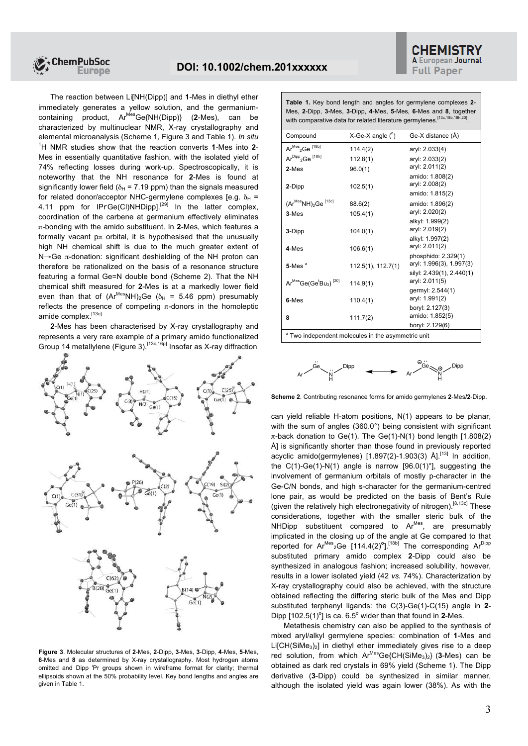

The reaction between Li[NH(Dipp)] and **1**-Mes in diethyl ether immediately generates a yellow solution, and the germaniumcontaining product, ArMesGe{NH(Dipp)} (**2**-Mes), can be characterized by multinuclear NMR, X-ray crystallography and elemental microanalysis (Scheme 1, Figure 3 and Table 1). *In situ* <sup>1</sup>H NMR studies show that the reaction converts **1**-Mes into **2**- Mes in essentially quantitative fashion, with the isolated yield of 74% reflecting losses during work-up. Spectroscopically, it is noteworthy that the NH resonance for **2**-Mes is found at significantly lower field ( $\delta_H$  = 7.19 ppm) than the signals measured for related donor/acceptor NHC-germylene complexes [e.g.  $\delta_H$  = 4.11 ppm for IPrGe(Cl)NHDipp].<sup>[29]</sup> In the latter complex, coordination of the carbene at germanium effectively eliminates π-bonding with the amido substituent. In **2**-Mes, which features a formally vacant  $p\pi$  orbital, it is hypothesised that the unusually high NH chemical shift is due to the much greater extent of N→Ge π-donation: significant deshielding of the NH proton can therefore be rationalized on the basis of a resonance structure featuring a formal Ge=N double bond (Scheme 2). That the NH chemical shift measured for **2**-Mes is at a markedly lower field even than that of  $(Ar^{Mes}NH)_2Ge$  ( $\delta_H = 5.46$  ppm) presumably reflects the presence of competing  $\pi$ -donors in the homoleptic amide complex.<sup>[13c]</sup>

**2**-Mes has been characterised by X-ray crystallography and represents a very rare example of a primary amido functionalized Group 14 metallylene (Figure 3).<sup>[13c,16p]</sup> Insofar as X-ray diffraction



**Figure 3**. Molecular structures of **2**-Mes, **2**-Dipp, **3**-Mes, **3**-Dipp, **4**-Mes, **5**-Mes, **6**-Mes and **8** as determined by X-ray crystallography. Most hydrogen atoms omitted and Dipp *<sup>i</sup>* Pr groups shown in wireframe format for clarity; thermal ellipsoids shown at the 50% probability level. Key bond lengths and angles are given in Table 1.

| Table 1. Key bond length and angles for germylene complexes 2-               |  |  |  |  |  |
|------------------------------------------------------------------------------|--|--|--|--|--|
| Mes, 2-Dipp, 3-Mes, 3-Dipp, 4-Mes, 5-Mes, 6-Mes and 8, together              |  |  |  |  |  |
| with comparative data for related literature germylenes. [13c, 18b, 18h, 20] |  |  |  |  |  |

| Compound                                                      | $X-Ge-X$ angle $(^\circ)$      | Ge-X distance (A)                                                                              |  |  |  |  |
|---------------------------------------------------------------|--------------------------------|------------------------------------------------------------------------------------------------|--|--|--|--|
| $Ar^{Mes}$ <sub>2</sub> Ge $^{[18b]}$                         | 114.4(2)                       | aryl: 2.033(4)                                                                                 |  |  |  |  |
| Ar <sup>Dipp</sup> <sub>2</sub> Ge <sup>[18h]</sup>           | 112.8(1)                       | aryl: 2.033(2)                                                                                 |  |  |  |  |
| 2-Mes                                                         | 96.0(1)                        | aryl: 2.011(2)                                                                                 |  |  |  |  |
| 2-Dipp                                                        | 102.5(1)                       | amido: 1.808(2)<br>aryl: 2.008(2)<br>amido: 1.815(2)                                           |  |  |  |  |
| $(Ar^{Mes}NH)_2$ Ge <sup>[13c]</sup>                          | 88.6(2)                        | amido: 1.896(2)                                                                                |  |  |  |  |
| $3-Mes$                                                       | 105.4(1)                       | aryl: 2.020(2)                                                                                 |  |  |  |  |
| 3-Dipp                                                        | 104.0(1)                       | alkyl: 1.999(2)<br>aryl: 2.019(2)<br>alkyl: 1.997(2)                                           |  |  |  |  |
| 4-Mes                                                         | 106.6(1)                       | aryl: 2.011(2)                                                                                 |  |  |  |  |
| $5$ -Mes $^a$<br>$Ar^{Mes}Ge(Ge^{t}Bu_{3})$ <sup>[20]</sup>   | 112.5(1), 112.7(1)<br>114.9(1) | phosphido: 2.329(1)<br>aryl: 1.996(3), 1.997(3)<br>silyl: 2.439(1), 2.440(1)<br>aryl: 2.011(5) |  |  |  |  |
|                                                               |                                | germyl: 2.544(1)                                                                               |  |  |  |  |
| 6-Mes                                                         | 110.4(1)                       | aryl: 1.991(2)                                                                                 |  |  |  |  |
| 8                                                             | 111.7(2)                       | boryl: 2.127(3)<br>amido: 1.852(5)<br>boryl: 2.129(6)                                          |  |  |  |  |
| <sup>a</sup> Two independent molecules in the asymmetric unit |                                |                                                                                                |  |  |  |  |



**Scheme 2**. Contributing resonance forms for amido germylenes **2**-Mes**/2**-Dipp.

can yield reliable H-atom positions, N(1) appears to be planar, with the sum of angles (360.0°) being consistent with significant π-back donation to Ge(1). The Ge(1)-N(1) bond length [1.808(2) Å] is significantly shorter than those found in previously reported acyclic amido(germylenes)  $[1.897(2)-1.903(3)$  Å].<sup>[13]</sup> In addition, the  $C(1)$ -Ge(1)-N(1) angle is narrow  $[96.0(1)^\circ]$ , suggesting the involvement of germanium orbitals of mostly p-character in the Ge-C/N bonds, and high s-character for the germanium-centred lone pair, as would be predicted on the basis of Bent's Rule (given the relatively high electronegativity of nitrogen).<sup>[8,13c]</sup> These considerations, together with the smaller steric bulk of the NHDipp substituent compared to Ar<sup>Mes</sup>, are presumably implicated in the closing up of the angle at Ge compared to that reported for Ar<sup>Mes</sup><sub>2</sub>Ge [114.4(2)<sup>o</sup>].<sup>[18b]</sup> The corresponding Ar<sup>Dipp</sup> substituted primary amido complex **2**-Dipp could also be synthesized in analogous fashion; increased solubility, however, results in a lower isolated yield (42 *vs.* 74%). Characterization by X-ray crystallography could also be achieved, with the structure obtained reflecting the differing steric bulk of the Mes and Dipp substituted terphenyl ligands: the C(3)-Ge(1)-C(15) angle in **2**- Dipp  $[102.5(1)^{\circ}]$  is ca. 6.5° wider than that found in 2-Mes.

Metathesis chemistry can also be applied to the synthesis of mixed aryl/alkyl germylene species: combination of **1**-Mes and  $Li[CH(SiMe<sub>3</sub>)<sub>2</sub>]$  in diethyl ether immediately gives rise to a deep red solution, from which Ar<sup>Mes</sup>Ge{CH(SiMe<sub>3</sub>)<sub>2</sub>} (3-Mes) can be obtained as dark red crystals in 69% yield (Scheme 1). The Dipp derivative (**3**-Dipp) could be synthesized in similar manner, although the isolated yield was again lower (38%). As with the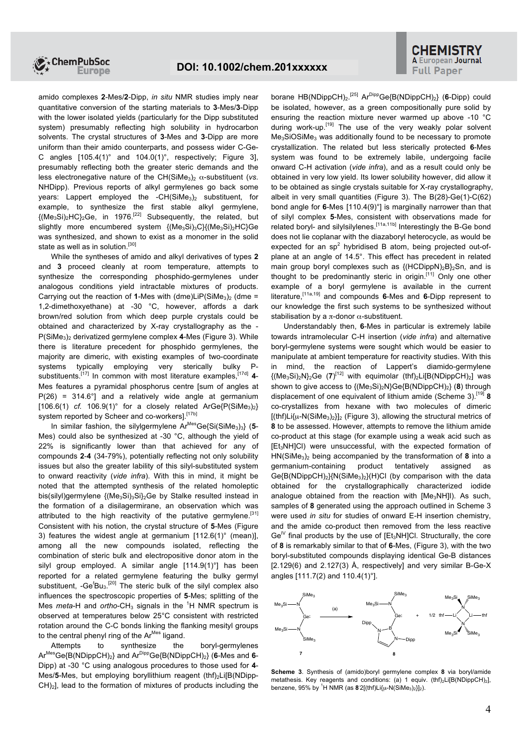

amido complexes **2**-Mes/**2**-Dipp, *in situ* NMR studies imply near quantitative conversion of the starting materials to **3**-Mes/**3**-Dipp with the lower isolated yields (particularly for the Dipp substituted system) presumably reflecting high solubility in hydrocarbon solvents. The crystal structures of **3**-Mes and **3**-Dipp are more uniform than their amido counterparts, and possess wider C-Ge-C angles  $[105.4(1)^\circ$  and  $104.0(1)^\circ$ , respectively; Figure 31, presumably reflecting both the greater steric demands and the less electronegative nature of the CH(SiMe<sub>3</sub>)<sub>2</sub> α-substituent (*vs.* NHDipp). Previous reports of alkyl germylenes go back some years: Lappert employed the -CH(SiMe<sub>3</sub>)<sub>2</sub> substituent, for example, to synthesize the first stable alkyl germylene,  ${(Me<sub>3</sub>Si)<sub>2</sub>HC}<sub>2</sub>Ge$ , in 1976.<sup>[22]</sup> Subsequently, the related, but slightly more encumbered system {(Me<sub>3</sub>Si)<sub>3</sub>C}{(Me<sub>3</sub>Si)<sub>2</sub>HC}Ge was synthesized, and shown to exist as a monomer in the solid state as well as in solution.<sup>[30]</sup>

While the syntheses of amido and alkyl derivatives of types **2** and **3** proceed cleanly at room temperature, attempts to synthesize the corresponding phosphido-germylenes under analogous conditions yield intractable mixtures of products. Carrying out the reaction of **1**-Mes with (dme)LiP(SiMe<sub>3</sub>)<sub>2</sub> (dme = 1,2-dimethoxyethane) at -30 °C, however, affords a dark brown/red solution from which deep purple crystals could be obtained and characterized by X-ray crystallography as the - P(SiMe<sub>3</sub>)<sub>2</sub> derivatized germylene complex 4-Mes (Figure 3). While there is literature precedent for phosphido germylenes, the majority are dimeric, with existing examples of two-coordinate systems typically employing very sterically bulky Psubstituents.<sup>[17]</sup> In common with most literature examples.<sup>[17d]</sup> 4-Mes features a pyramidal phosphorus centre [sum of angles at  $P(26) = 314.6^{\circ}$ ] and a relatively wide angle at germanium  $[106.6(1)$  *cf.*  $106.9(1)$ ° for a closely related ArGe $\{P(SiMe<sub>3</sub>)<sub>2</sub>\}$ system reported by Scheer and co-workers].<sup>[17b]</sup>

In similar fashion, the silylgermylene Ar<sup>Mes</sup>Ge{Si(SiMe<sub>3</sub>)<sub>3</sub>} (5-Mes) could also be synthesized at -30 °C, although the yield of 22% is significantly lower than that achieved for any of compounds **2**-**4** (34-79%), potentially reflecting not only solubility issues but also the greater lability of this silyl-substituted system to onward reactivity (*vide infra*). With this in mind, it might be noted that the attempted synthesis of the related homoleptic bis(silyl)germylene {(Me<sub>3</sub>Si)<sub>3</sub>Si}<sub>2</sub>Ge by Stalke resulted instead in the formation of a disilagermirane, an observation which was attributed to the high reactivity of the putative germylene.<sup>[31]</sup> Consistent with his notion, the crystal structure of **5**-Mes (Figure 3) features the widest angle at germanium [112.6(1)° (mean)], among all the new compounds isolated, reflecting the combination of steric bulk and electropositive donor atom in the silyl group employed. A similar angle [114.9(1)°] has been reported for a related germylene featuring the bulky germyl substituent, -Ge<sup>t</sup>Bu<sub>3</sub>.<sup>[20]</sup> The steric bulk of the silyl complex also influences the spectroscopic properties of **5**-Mes; splitting of the Mes *meta*-H and *ortho*-CH<sub>3</sub> signals in the <sup>1</sup>H NMR spectrum is observed at temperatures below 25°C consistent with restricted rotation around the C-C bonds linking the flanking mesityl groups to the central phenyl ring of the Ar<sup>Mes</sup> ligand.

Attempts to synthesize the boryl-germylenes ArMesGe{B(NDippCH)2} and ArDippGe{B(NDippCH)2} (**6**-Mes and **6**- Dipp) at -30 °C using analogous procedures to those used for **4**- Mes/5-Mes, but employing boryllithium reagent (thf)<sub>2</sub>Li[B(NDipp-CH)2], lead to the formation of mixtures of products including the

borane HB(NDippCH)<sub>2</sub>.<sup>[25]</sup> Ar<sup>Dipp</sup>Ge{B(NDippCH)<sub>2</sub>} (6-Dipp) could be isolated, however, as a green compositionally pure solid by ensuring the reaction mixture never warmed up above -10 °C during work-up.  $[19]$  The use of the very weakly polar solvent Me3SiOSiMe<sup>3</sup> was additionally found to be necessary to promote crystallization. The related but less sterically protected **6**-Mes system was found to be extremely labile, undergoing facile onward C-H activation (*vide infra*), and as a result could only be obtained in very low yield. Its lower solubility however, did allow it to be obtained as single crystals suitable for X-ray crystallography, albeit in very small quantities (Figure 3). The B(28)-Ge(1)-C(62) bond angle for **6**-Mes [110.4(9)°] is marginally narrower than that of silyl complex **5**-Mes, consistent with observations made for related boryl- and silylsilylenes.<sup>[11a,11b]</sup> Interestingly the B-Ge bond does not lie coplanar with the diazaboryl heterocycle, as would be expected for an  $sp<sup>2</sup>$  hybridised B atom, being projected out-ofplane at an angle of 14.5°. This effect has precedent in related main group boryl complexes such as  $\{(\text{HCDippN})_2B\}_2Sn$ , and is thought to be predominantly steric in origin.<sup>[11]</sup> Only one other example of a boryl germylene is available in the current literature,[11a,19] and compounds **6**-Mes and **6**-Dipp represent to our knowledge the first such systems to be synthesized without stabilisation by a  $\pi$ -donor  $\alpha$ -substituent.

Understandably then, **6**-Mes in particular is extremely labile towards intramolecular C-H insertion (*vide infra*) and alternative boryl-germylene systems were sought which would be easier to manipulate at ambient temperature for reactivity studies. With this in mind, the reaction of Lappert's diamido-germylene  ${(Me<sub>3</sub>Si)<sub>2</sub>N}<sub>2</sub>Ge (7)<sup>[12]</sup> with equivalent (thf)<sub>2</sub>Li[B(NDippCH)<sub>2</sub>] was$ shown to give access to {(Me3Si)2N}Ge{B(NDippCH)2} (**8**) through displacement of one equivalent of lithium amide (Scheme 3).[19] **8** co-crystallizes from hexane with two molecules of dimeric  $[(\text{thf})Li{\mu}-N(\text{SiMe}_3)_2]_2$  (Figure 3), allowing the structural metrics of **8** to be assessed. However, attempts to remove the lithium amide co-product at this stage (for example using a weak acid such as [Et3NH]Cl) were unsuccessful, with the expected formation of HN(SiMe3)<sup>2</sup> being accompanied by the transformation of **8** into a germanium-containing product tentatively assigned as Ge ${B(NDippCH)_2}{N(SiMe_3)_2}(H)Cl$  (by comparison with the data obtained for the crystallographically characterized iodide analogue obtained from the reaction with [Me<sub>3</sub>NH]I). As such, samples of **8** generated using the approach outlined in Scheme 3 were used *in situ* for studies of onward E-H insertion chemistry, and the amide co-product then removed from the less reactive  $\text{Ge}^{\mathsf{IV}}$  final products by the use of  $[Et_3NH]$ Cl. Structurally, the core of **8** is remarkably similar to that of **6**-Mes, (Figure 3), with the two boryl-substituted compounds displaying identical Ge-B distances [2.129(6) and 2.127(3) Å, respectively] and very similar B-Ge-X angles [111.7(2) and 110.4(1)°].



**Scheme 3**. Synthesis of (amido)boryl germylene complex **8** via boryl/amide metathesis. Key reagents and conditions: (a) 1 equiv.  $(thf)<sub>2</sub>L[BNDippCH)<sub>2</sub>$ ], benzene, 95% by <sup>1</sup>H NMR (as 8 2[(thf)Li{u-N(SiMe<sub>3</sub>)<sub>2</sub>}]<sub>2</sub>).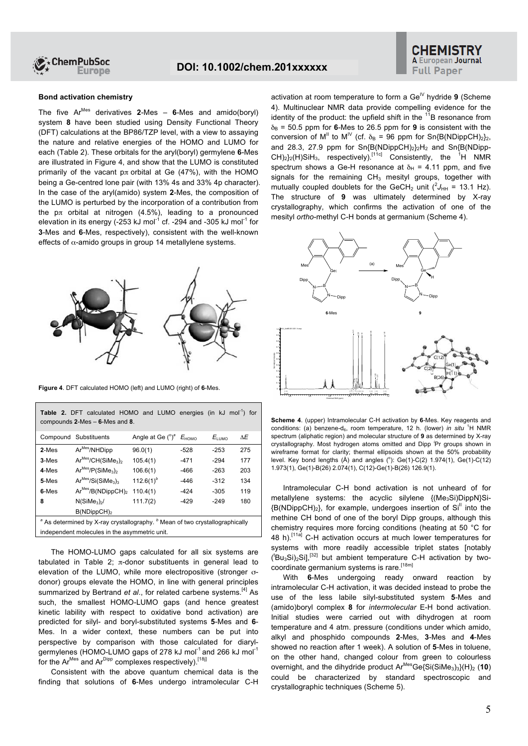

# **A European Journal Full Paper**

#### **Bond activation chemistry**

The five ArMes derivatives **2**-Mes – **6**-Mes and amido(boryl) system **8** have been studied using Density Functional Theory (DFT) calculations at the BP86/TZP level, with a view to assaying the nature and relative energies of the HOMO and LUMO for each (Table 2). These orbitals for the aryl(boryl) germylene **6**-Mes are illustrated in Figure 4, and show that the LUMO is constituted primarily of the vacant  $p\pi$  orbital at Ge (47%), with the HOMO being a Ge-centred lone pair (with 13% 4s and 33% 4p character). In the case of the aryl(amido) system **2**-Mes, the composition of the LUMO is perturbed by the incorporation of a contribution from the  $p\pi$  orbital at nitrogen (4.5%), leading to a pronounced elevation in its energy (-253 kJ mol<sup>-1</sup> cf. -294 and -305 kJ mol<sup>-1</sup> for **3**-Mes and **6**-Mes, respectively), consistent with the well-known effects of  $\alpha$ -amido groups in group 14 metallylene systems.



**Figure 4**. DFT calculated HOMO (left) and LUMO (right) of **6**-Mes.

| <b>Table 2.</b> DFT calculated HOMO and LUMO energies (in kJ mol <sup>-1</sup> ) for<br>compounds $2$ -Mes $-$ 6-Mes and 8. |                                            |                                                |        |            |     |  |  |
|-----------------------------------------------------------------------------------------------------------------------------|--------------------------------------------|------------------------------------------------|--------|------------|-----|--|--|
|                                                                                                                             | Compound Substituents                      | Angle at Ge $(^\circ)^\circ$ $E_{\text{HOMO}}$ |        | $E_{LUMO}$ | ٨E  |  |  |
| $2-Mes$                                                                                                                     | Ar <sup>Mes</sup> /NHDipp                  | 96.0(1)                                        | $-528$ | $-253$     | 275 |  |  |
| $3-Mes$                                                                                                                     | $Ar^{Mes}/CH(SiMe3)2$                      | 105.4(1)                                       | -471   | $-294$     | 177 |  |  |
| 4-Mes                                                                                                                       | $Ar^{Mes}/P(SiMe3)2$                       | 106.6(1)                                       | -466   | $-263$     | 203 |  |  |
| 5-Mes                                                                                                                       | $Ar^{Mes}/Si(SiMe3)3$                      | 112.6(1) <sup>b</sup>                          | $-446$ | $-312$     | 134 |  |  |
| 6-Mes                                                                                                                       | Ar <sup>Mes</sup> /B(NDippCH) <sub>2</sub> | 110.4(1)                                       | -424   | $-305$     | 119 |  |  |
| 8                                                                                                                           | N(SiMe <sub>3</sub> )                      | 111.7(2)                                       | $-429$ | $-249$     | 180 |  |  |
|                                                                                                                             | B(NDippCH) <sub>2</sub>                    |                                                |        |            |     |  |  |
| <sup>a</sup> As determined by X-ray crystallography. <sup>b</sup> Mean of two crystallographically                          |                                            |                                                |        |            |     |  |  |
| independent molecules in the asymmetric unit.                                                                               |                                            |                                                |        |            |     |  |  |

The HOMO-LUMO gaps calculated for all six systems are tabulated in Table 2;  $π$ -donor substituents in general lead to elevation of the LUMO, while more electropositive (stronger σdonor) groups elevate the HOMO, in line with general principles summarized by Bertrand *et al.*, for related carbene systems.<sup>[4]</sup> As such, the smallest HOMO-LUMO gaps (and hence greatest kinetic lability with respect to oxidative bond activation) are predicted for silyl- and boryl-substituted systems **5**-Mes and **6**- Mes. In a wider context, these numbers can be put into perspective by comparison with those calculated for diarylgermylenes (HOMO-LUMO gaps of 278 kJ mol<sup>-1</sup> and 266 kJ mol<sup>-1</sup> for the  $Ar^{Mes}$  and  $Ar^{Dipp}$  complexes respectively).<sup>[18]]</sup>

Consistent with the above quantum chemical data is the finding that solutions of **6**-Mes undergo intramolecular C-H activation at room temperature to form a Ge<sup>IV</sup> hydride 9 (Scheme 4). Multinuclear NMR data provide compelling evidence for the identity of the product: the upfield shift in the  $11B$  resonance from  $\delta_B$  = 50.5 ppm for 6-Mes to 26.5 ppm for 9 is consistent with the conversion of M<sup>II</sup> to M<sup>IV</sup> (cf.  $\delta_B$  = 96 ppm for Sn{B(NDippCH)<sub>2</sub>}<sub>2</sub>, and 28.3, 27.9 ppm for  $Sn{B(NDippCH)_2}_2H_2$  and  $Sn{B(NDipp CH$ <sub>2</sub> $/H$ )SiH<sub>3</sub>, respectively).<sup>[11c]</sup> Consistently, the <sup>1</sup>H NMR spectrum shows a Ge-H resonance at  $\delta_H$  = 4.11 ppm, and five signals for the remaining  $CH<sub>3</sub>$  mesityl groups, together with mutually coupled doublets for the GeCH<sub>2</sub> unit  $(^2J_{HH} = 13.1$  Hz). The structure of **9** was ultimately determined by X-ray crystallography, which confirms the activation of one of the mesityl *ortho*-methyl C-H bonds at germanium (Scheme 4).



**Scheme 4**. (upper) Intramolecular C-H activation by **6**-Mes. Key reagents and conditions: (a) benzene-d<sub>6</sub>, room temperature, 12 h. (lower) *in situ* <sup>1</sup>H NMR spectrum (aliphatic region) and molecular structure of **9** as determined by X-ray crystallography. Most hydrogen atoms omitted and Dipp *<sup>i</sup>* Pr groups shown in wireframe format for clarity; thermal ellipsoids shown at the 50% probability level. Key bond lengths  $(A)$  and angles  $(°)$ : Ge(1)-C(2) 1.974(1), Ge(1)-C(12) 1.973(1), Ge(1)-B(26) 2.074(1), C(12)-Ge(1)-B(26) 126.9(1).

Intramolecular C-H bond activation is not unheard of for metallylene systems: the acyclic silylene {(Me3Si)DippN}Si-  ${B(NDiopCH)}_2$ , for example, undergoes insertion of  $Si<sup>H</sup>$  into the methine CH bond of one of the boryl Dipp groups, although this chemistry requires more forcing conditions (heating at 50 °C for 48 h).<sup>[11a]</sup> C-H activation occurs at much lower temperatures for systems with more readily accessible triplet states [notably  $({}^{t}Bu_{3}Si)_{2}Si$ ],<sup>[32]</sup> but ambient temperature C-H activation by twocoordinate germanium systems is rare.<sup>[18m]</sup>

With **6**-Mes undergoing ready onward reaction by intramolecular C-H activation, it was decided instead to probe the use of the less labile silyl-substituted system **5**-Mes and (amido)boryl complex **8** for *intermolecular* E-H bond activation. Initial studies were carried out with dihydrogen at room temperature and 4 atm. pressure (conditions under which amido, alkyl and phosphido compounds **2**-Mes, **3**-Mes and **4**-Mes showed no reaction after 1 week). A solution of **5**-Mes in toluene, on the other hand, changed colour from green to colourless overnight, and the dihydride product Ar<sup>Mes</sup>Ge{Si(SiMe<sub>3</sub>)<sub>3</sub>}(H)<sub>2</sub> (10) could be characterized by standard spectroscopic and crystallographic techniques (Scheme 5).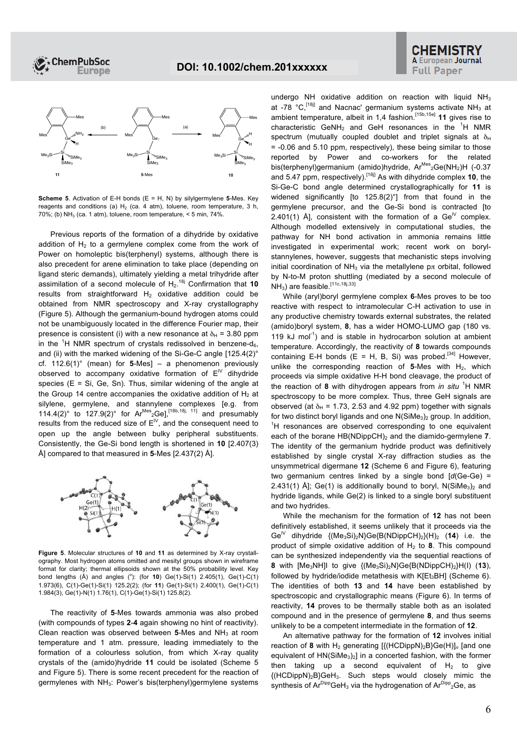



**Scheme 5**. Activation of E-H bonds (E = H, N) by silylgermylene **5**-Mes. Key reagents and conditions (a)  $H_2$  (ca. 4 atm), toluene, room temperature, 3 h,  $70\%$ ; (b) NH<sub>3</sub> (ca. 1 atm), toluene, room temperature,  $\leq$  5 min, 74%.

Previous reports of the formation of a dihydride by oxidative addition of  $H<sub>2</sub>$  to a germylene complex come from the work of Power on homoleptic bis(terphenyl) systems, although there is also precedent for arene elimination to take place (depending on ligand steric demands), ultimately yielding a metal trihydride after assimilation of a second molecule of H<sub>2</sub>.<sup>18j</sup> Confirmation that 10 results from straightforward  $H_2$  oxidative addition could be obtained from NMR spectroscopy and X-ray crystallography (Figure 5). Although the germanium-bound hydrogen atoms could not be unambiguously located in the difference Fourier map, their presence is consistent (i) with a new resonance at  $\delta_H$  = 3.80 ppm in the <sup>1</sup>H NMR spectrum of crystals redissolved in benzene-d<sub>6</sub>, and (ii) with the marked widening of the Si-Ge-C angle [125.4(2)° cf. 112.6(1)° (mean) for **5**-Mes] – a phenomenon previously observed to accompany oxidative formation of  $E^W$  dihydride species ( $E = Si$ , Ge, Sn). Thus, similar widening of the angle at the Group 14 centre accompanies the oxidative addition of  $H_2$  at silylene, germylene, and stannylene complexes [e.g. from 114.4(2)° to 127.9(2)° for  $Ar^{Mes}$ <sub>2</sub>Ge],<sup>[18b,18j, 11]</sup> and presumably results from the reduced size of  $E^W$ , and the consequent need to open up the angle between bulky peripheral substituents. Consistently, the Ge-Si bond length is shortened in **10** [2.407(3) Å] compared to that measured in **5**-Mes [2.437(2) Å].



**Figure 5**. Molecular structures of **10** and **11** as determined by X-ray crystallography. Most hydrogen atoms omitted and mesityl groups shown in wireframe format for clarity; thermal ellipsoids shown at the 50% probability level. Key bond lengths  $(A)$  and angles  $(°)$ : (for **10**) Ge(1)-Si(1) 2.405(1), Ge(1)-C(1) 1.973(6), C(1)-Ge(1)-Si(1) 125.2(2); (for **11**) Ge(1)-Si(1) 2.400(1), Ge(1)-C(1) 1.984(3), Ge(1)-N(1) 1.76(1), C(1)-Ge(1)-Si(1) 125.8(2).

The reactivity of **5**-Mes towards ammonia was also probed (with compounds of types **2**-**4** again showing no hint of reactivity). Clean reaction was observed between 5-Mes and NH<sub>3</sub> at room temperature and 1 atm. pressure, leading immediately to the formation of a colourless solution, from which X-ray quality crystals of the (amido)hydride **11** could be isolated (Scheme 5 and Figure 5). There is some recent precedent for the reaction of germylenes with NH3: Power's bis(terphenyl)germylene systems

undergo NH oxidative addition on reaction with liquid NH<sub>3</sub> at -78  $^{\circ}$ C.<sup>[18]]</sup> and Nacnac' germanium systems activate NH<sub>3</sub> at ambient temperature, albeit in 1,4 fashion.[15b,15e] **11** gives rise to characteristic GeNH<sub>2</sub> and GeH resonances in the  ${}^{1}$ H NMR spectrum (mutually coupled doublet and triplet signals at  $\delta_H$  $= -0.06$  and 5.10 ppm, respectively), these being similar to those reported by Power and co-workers for the related bis(terphenyl)germanium (amido)hydride, Ar<sup>Mes</sup><sub>2</sub>Ge(NH<sub>2</sub>)H (-0.37 and 5.47 ppm, respectively).<sup>[18]</sup> As with dihydride complex 10, the Si-Ge-C bond angle determined crystallographically for **11** is widened significantly [to 125.8(2)°] from that found in the germylene precursor, and the Ge-Si bond is contracted [to 2.401(1) Ål. consistent with the formation of a  $\text{Ge}^{\mathsf{IV}}$  complex. Although modelled extensively in computational studies, the pathway for NH bond activation in ammonia remains little investigated in experimental work; recent work on borylstannylenes, however, suggests that mechanistic steps involving initial coordination of  $NH<sub>3</sub>$  via the metallylene p $\pi$  orbital, followed by N-to-M proton shuttling (mediated by a second molecule of NH<sub>3</sub>) are feasible.<sup>[11c,18j,33]</sup>

While (aryl)boryl germylene complex **6**-Mes proves to be too reactive with respect to intramolecular C-H activation to use in any productive chemistry towards external substrates, the related (amido)boryl system, **8**, has a wider HOMO-LUMO gap (180 vs. 119 kJ mol<sup>-1</sup>) and is stable in hydrocarbon solution at ambient temperature. Accordingly, the reactivity of **8** towards compounds containing E-H bonds (E = H, B, Si) was probed.<sup>[34]</sup> However, unlike the corresponding reaction of  $5$ -Mes with  $H_2$ , which proceeds via simple oxidative H-H bond cleavage, the product of the reaction of 8 with dihydrogen appears from *in situ* <sup>1</sup>H NMR spectroscopy to be more complex. Thus, three GeH signals are observed (at  $\delta_H$  = 1.73, 2.53 and 4.92 ppm) together with signals for two distinct boryl ligands and one  $N(SiMe<sub>3</sub>)<sub>2</sub>$  group. In addition, <sup>1</sup>H resonances are observed corresponding to one equivalent each of the borane HB(NDippCH)<sub>2</sub> and the diamido-germylene **7**. The identity of the germanium hydride product was definitively established by single crystal X-ray diffraction studies as the unsymmetrical digermane **12** (Scheme 6 and Figure 6), featuring two germanium centres linked by a single bond [*d*(Ge-Ge) = 2.431(1) Å]; Ge(1) is additionally bound to boryl,  $N(SiMe<sub>3</sub>)<sub>2</sub>$  and hydride ligands, while Ge(2) is linked to a single boryl substituent and two hydrides.

While the mechanism for the formation of **12** has not been definitively established, it seems unlikely that it proceeds via the Ge<sup>IV</sup> dihydride  ${(Me<sub>3</sub>Si)<sub>2</sub>N}Ge{B(NDippCH)<sub>2</sub>}{(H)<sub>2</sub>}$  (14) i.e. the product of simple oxidative addition of H<sup>2</sup> to **8**. This compound can be synthesized independently via the sequential reactions of **8** with [Me3NH]I to give {(Me3Si)2N}Ge{B(NDippCH)2}H(I) (**13**), followed by hydride/iodide metathesis with  $K[Et_3BH]$  (Scheme 6). The identities of both **13** and **14** have been established by spectroscopic and crystallographic means (Figure 6). In terms of reactivity, **14** proves to be thermally stable both as an isolated compound and in the presence of germylene **8**, and thus seems unlikely to be a competent intermediate in the formation of **12**.

An alternative pathway for the formation of **12** involves initial reaction of 8 with H<sub>2</sub> generating [{(HCDippN)<sub>2</sub>B}Ge(H)]<sub>*n*</sub> [and one equivalent of  $HN(SiMe<sub>3</sub>)<sub>2</sub>$ ] in a concerted fashion, with the former then taking up a second equivalent of  $H_2$  to give {(HCDippN)2B}GeH3. Such steps would closely mimic the synthesis of Ar<sup>Dipp</sup>GeH<sub>3</sub> via the hydrogenation of Ar<sup>Dipp</sup><sub>2</sub>Ge, as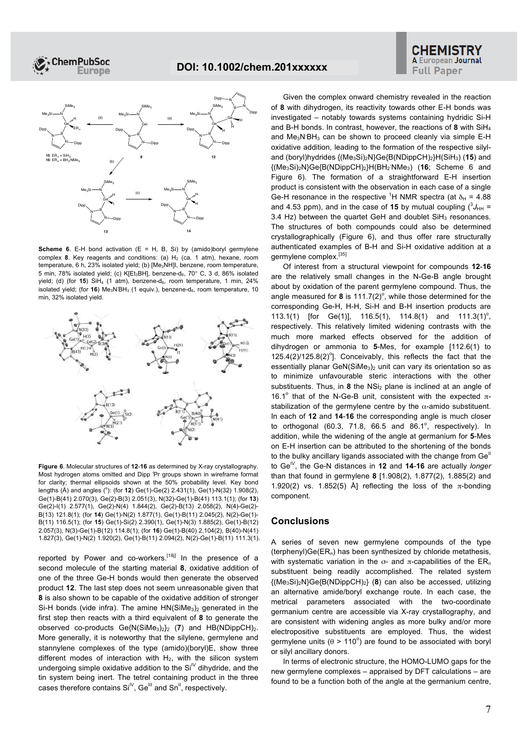



**Scheme 6**. E-H bond activation (E = H, B, Si) by (amido)boryl germylene complex 8. Key reagents and conditions: (a) H<sub>2</sub> (ca. 1 atm), hexane, room temperature, 6 h, 23% isolated yield; (b) [Me3NH]I, benzene, room temperature, 5 min, 78% isolated yield; (c) K[Et<sub>3</sub>BH], benzene-d<sub>6</sub>, 70° C, 3 d, 86% isolated vield; (d) (for **15**) SiH<sub>4</sub> (1 atm), benzene-d<sub>6</sub>, room temperature, 1 min, 24% isolated yield; (for 16) Me<sub>3</sub>N<sup>BH<sub>3</sub> (1 equiv.), benzene-d<sub>6</sub>, room temperature, 10</sup> min, 32% isolated yield.



**Figure 6**. Molecular structures of **12**-**16** as determined by X-ray crystallography. Most hydrogen atoms omitted and Dipp *<sup>i</sup>* Pr groups shown in wireframe format for clarity; thermal ellipsoids shown at the 50% probability level. Key bond lengths (Å) and angles (°): (for **12**) Ge(1)-Ge(2) 2.431(1), Ge(1)-N(32) 1.908(2), Ge(1)-B(41) 2.070(3), Ge(2)-B(3) 2.051(3), N(32)-Ge(1)-B(41) 113.1(1); (for **13**) Ge(2)-I(1) 2.577(1), Ge(2)-N(4) 1.844(2), Ge(2)-B(13) 2.058(2), N(4)-Ge(2)- B(13) 121.8(1); (for **14**) Ge(1)-N(2) 1.877(1), Ge(1)-B(11) 2.045(2), N(2)-Ge(1)- B(11) 116.5(1); (for **15**) Ge(1)-Si(2) 2.390(1), Ge(1)-N(3) 1.885(2), Ge(1)-B(12) 2.057(3), N(3)-Ge(1)-B(12) 114.8(1); (for **16**) Ge(1)-B(40) 2.104(2), B(40)-N(41) 1.827(3), Ge(1)-N(2) 1.920(2), Ge(1)-B(11) 2.094(2), N(2)-Ge(1)-B(11) 111.3(1).

reported by Power and co-workers.<sup>[18]]</sup> In the presence of a second molecule of the starting material **8**, oxidative addition of one of the three Ge-H bonds would then generate the observed product **12**. The last step does not seem unreasonable given that **8** is also shown to be capable of the oxidative addition of stronger Si-H bonds (vide infra). The amine  $HN(SiMe<sub>3</sub>)<sub>2</sub>$  generated in the first step then reacts with a third equivalent of **8** to generate the observed co-products Ge{N(SiMe<sub>3</sub>)<sub>2</sub>}<sub>2</sub> (7) and HB(NDippCH)<sub>2</sub>. More generally, it is noteworthy that the silylene, germylene and stannylene complexes of the type (amido)(boryl)E, show three different modes of interaction with  $H_2$ , with the silicon system undergoing simple oxidative addition to the  $Si<sup>N</sup>$  dihydride, and the tin system being inert. The tetrel containing product in the three cases therefore contains  $Si<sup>N</sup>$ , Ge<sup>III</sup> and  $Sn<sup>II</sup>$ , respectively.

Given the complex onward chemistry revealed in the reaction of **8** with dihydrogen, its reactivity towards other E-H bonds was investigated – notably towards systems containing hydridic Si-H and B-H bonds. In contrast, however, the reactions of **8** with SiH<sup>4</sup> and Me<sub>3</sub>N BH<sub>3</sub> can be shown to proceed cleanly via simple E-H oxidative addition, leading to the formation of the respective silyland (boryl)hydrides {(Me3Si)2N}Ge{B(NDippCH)2}H(SiH3) (**15**) and {(Me3Si)2N}Ge{B(NDippCH)2}H(BH<sup>2</sup> **.**NMe3) (**16**; Scheme 6 and Figure 6). The formation of a straightforward E-H insertion product is consistent with the observation in each case of a single Ge-H resonance in the respective <sup>1</sup>H NMR spectra (at  $\delta_H$  = 4.88 and 4.53 ppm), and in the case of **15** by mutual coupling  $(^3J_{HH} =$ 3.4 Hz) between the quartet GeH and doublet SiH<sub>3</sub> resonances. The structures of both compounds could also be determined crystallographically (Figure 6), and thus offer rare structurally authenticated examples of B-H and Si-H oxidative addition at a germylene complex.[35]

Of interest from a structural viewpoint for compounds **12**-**16** are the relatively small changes in the N-Ge-B angle brought about by oxidation of the parent germylene compound. Thus, the angle measured for  $8$  is  $111.7(2)^\circ$ , while those determined for the corresponding Ge-H, H-H, Si-H and B-H insertion products are 113.1(1) [for Ge(1)], 116.5(1), 114.8(1) and 111.3(1)<sup>o</sup>, respectively. This relatively limited widening contrasts with the much more marked effects observed for the addition of dihydrogen or ammonia to **5**-Mes, for example [112.6(1) to  $125.4(2)/125.8(2)^{\circ}$ ]. Conceivably, this reflects the fact that the essentially planar GeN(SiMe<sub>3</sub>)<sub>2</sub> unit can vary its orientation so as to minimize unfavourable steric interactions with the other substituents. Thus, in 8 the NSi<sub>2</sub> plane is inclined at an angle of 16.1° that of the N-Ge-B unit, consistent with the expected πstabilization of the germylene centre by the  $\alpha$ -amido substituent. In each of **12** and **14**-**16** the corresponding angle is much closer to orthogonal  $(60.3, 71.8, 66.5, and 86.1^\circ, respectively)$ . In addition, while the widening of the angle at germanium for **5**-Mes on E-H insertion can be attributed to the shortening of the bonds to the bulky ancillary ligands associated with the change from Ge<sup>II</sup> to Ge<sup>IV</sup>, the Ge-N distances in **12** and **14-16** are actually *longer* than that found in germylene **8** [1.908(2), 1.877(2), 1.885(2) and 1.920(2) vs. 1.852(5) Å] reflecting the loss of the π-bonding component.

## **Conclusions**

A series of seven new germylene compounds of the type (terphenyl)Ge(ER*n*) has been synthesized by chloride metathesis, with systematic variation in the σ- and π-capabilities of the ER*<sup>n</sup>* substituent being readily accomplished. The related system {(Me3Si)2N}Ge{B(NDippCH)2} (**8**) can also be accessed, utilizing an alternative amide/boryl exchange route. In each case, the metrical parameters associated with the two-coordinate germanium centre are accessible via X-ray crystallography, and are consistent with widening angles as more bulky and/or more electropositive substituents are employed. Thus, the widest germylene units ( $\theta$  > 110°) are found to be associated with boryl or silyl ancillary donors.

In terms of electronic structure, the HOMO-LUMO gaps for the new germylene complexes – appraised by DFT calculations – are found to be a function both of the angle at the germanium centre,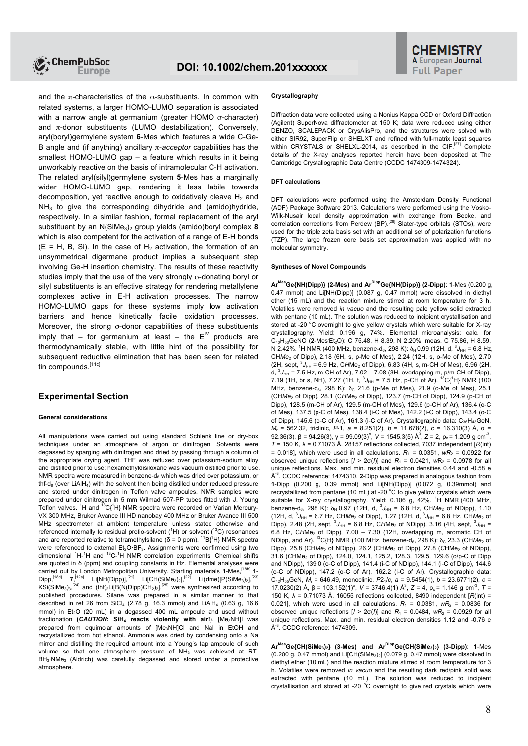

and the π-characteristics of the  $\alpha$ -substituents. In common with related systems, a larger HOMO-LUMO separation is associated with a narrow angle at germanium (greater HOMO σ-character) and  $\pi$ -donor substituents (LUMO destabilization). Conversely, aryl(boryl)germylene system **6**-Mes which features a wide C-Ge-B angle and (if anything) ancillary π-*acceptor* capabilities has the smallest HOMO-LUMO gap – a feature which results in it being unworkably reactive on the basis of intramolecular C-H activation. The related aryl(silyl)germylene system **5**-Mes has a marginally wider HOMO-LUMO gap, rendering it less labile towards decomposition, yet reactive enough to oxidatively cleave  $H_2$  and  $NH<sub>3</sub>$  to give the corresponding dihydride and (amido)hydride, respectively. In a similar fashion, formal replacement of the aryl substituent by an N(SiMe<sub>3</sub>)<sub>2</sub> group yields (amido)boryl complex 8 which is also competent for the activation of a range of E-H bonds  $(E = H, B, Si)$ . In the case of  $H<sub>2</sub>$  activation, the formation of an unsymmetrical digermane product implies a subsequent step involving Ge-H insertion chemistry. The results of these reactivity studies imply that the use of the very strongly σ-donating boryl or silyl substituents is an effective strategy for rendering metallylene complexes active in E-H activation processes. The narrow HOMO-LUMO gaps for these systems imply low activation barriers and hence kinetically facile oxidation processes. Moreover, the strong σ-donor capabilities of these substituents imply that – for germanium at least – the  $E^{\prime\prime}$  products are thermodynamically stable, with little hint of the possibility for subsequent reductive elimination that has been seen for related tin compounds.<sup>[11c]</sup>

### **Experimental Section**

#### **General considerations**

All manipulations were carried out using standard Schlenk line or dry-box techniques under an atmosphere of argon or dinitrogen. Solvents were degassed by sparging with dinitrogen and dried by passing through a column of the appropriate drying agent. THF was refluxed over potassium-sodium alloy and distilled prior to use; hexamethyldisiloxane was vacuum distilled prior to use. NMR spectra were measured in benzene- $d_6$  which was dried over potassium, or thf-d<sub>8</sub> (over LiAlH<sub>4</sub>) with the solvent then being distilled under reduced pressure and stored under dinitrogen in Teflon valve ampoules. NMR samples were prepared under dinitrogen in 5 mm Wilmad 507-PP tubes fitted with J. Young Teflon valves. <sup>1</sup>H and  ${}^{13}C_1{}^{1}H$ } NMR spectra were recorded on Varian Mercury-VX 300 MHz, Bruker Avance III HD nanobay 400 MHz or Bruker Avance III 500 MHz spectrometer at ambient temperature unless stated otherwise and referenced internally to residual protio-solvent  $({}^{1}H)$  or solvent  $({}^{13}C)$  resonances and are reported relative to tetramethylsilane ( $\delta$  = 0 ppm). <sup>11</sup>B{<sup>1</sup>H} NMR spectra were referenced to external Et<sub>2</sub>O·BF<sub>3</sub>. Assignments were confirmed using two dimensional <sup>1</sup>H-<sup>1</sup>H and <sup>13</sup>C-<sup>1</sup>H NMR correlation experiments. Chemical shifts are quoted in δ (ppm) and coupling constants in Hz. Elemental analyses were carried out by London Metropolitan University. Starting materials **1**-Mes, [18b] **1**- Dipp,<sup>[18d]</sup> **7**,<sup>[12a]</sup> Li[NH(Dipp)],<sup>[21]</sup> Li[CH(SiMe<sub>3</sub>)<sub>2</sub>],<sup>[22]</sup> Li(dme)[P(SiMe<sub>3</sub>)<sub>2</sub>],<sup>[23]</sup> KSi(SiMe<sub>3</sub>)<sub>3</sub>,<sup>[24]</sup> and (thf)<sub>2</sub>Li[B(N(Dipp)CH<sub>2</sub>)<sub>2</sub>],<sup>[25]</sup> were synthesized according to published procedures. Silane was prepared in a similar manner to that described in ref 26 from SiCl<sub>4</sub> (2.78 g, 16.3 mmol) and LiAlH<sub>4</sub> (0.63 g, 16.6 mmol) in  $Et<sub>2</sub>O$  (20 mL) in a degassed 400 mL ampoule and used without fractionation (CAUTION: SiH<sub>4</sub> reacts violently with air!). [Me<sub>3</sub>NH]I was prepared from equimolar amounts of [Me3NH]Cl and NaI in EtOH and recrystallized from hot ethanol. Ammonia was dried by condensing onto a Na mirror and distilling the required amount into a Young's tap ampoule of such volume so that one atmosphere pressure of NH<sub>3</sub> was achieved at RT. BH<sub>3</sub>⋅NMe<sub>3</sub> (Aldrich) was carefully degassed and stored under a protective atmosphere

#### **Crystallography**

Diffraction data were collected using a Nonius Kappa CCD or Oxford Diffraction (Agilent) SuperNova diffractometer at 150 K; data were reduced using either DENZO, SCALEPACK or CrysAlisPro, and the structures were solved with either SIR92, SuperFlip or SHELXT and refined with full-matrix least squares within CRYSTALS or SHELXL-2014, as described in the CIF.<sup>[27]</sup> Complete details of the X-ray analyses reported herein have been deposited at The Cambridge Crystallographic Data Centre (CCDC 1474309-1474324).

#### **DFT calculations**

DFT calculations were performed using the Amsterdam Density Functional (ADF) Package Software 2013. Calculations were performed using the Vosko-Wilk-Nusair local density approximation with exchange from Becke, and<br>correlation corrections from Perdew (BP).<sup>[28]</sup> Slater-type orbitals (STOs), were used for the triple zeta basis set with an additional set of polarization functions (TZP). The large frozen core basis set approximation was applied with no molecular symmetry.

#### **Syntheses of Novel Compounds**

**ArMesGe{NH(Dipp)} (2-Mes) and ArDippGe{NH(Dipp)} (2-Dipp)**: **1**-Mes (0.200 g, 0.47 mmol) and Li[NH(Dipp)] (0.087 g, 0.47 mmol) were dissolved in diethyl ether (15 mL) and the reaction mixture stirred at room temperature for 3 h. Volatiles were removed *in vacuo* and the resulting pale yellow solid extracted with pentane (10 mL). The solution was reduced to incipient crystallisation and stored at -20 °C overnight to give yellow crystals which were suitable for X-ray crystallography. Yield: 0.196 g, 74%. Elemental microanalysis: calc. for C<sub>40</sub>H<sub>53</sub>GeNO (2-Mes Et<sub>2</sub>O): C 75.48, H 8.39, N 2.20%; meas. C 75.86, H 8.59, N 2.42%. <sup>1</sup>H NMR (400 MHz, benzene-d<sub>6</sub>, 298 K): δ<sub>H</sub> 0.99 (12H, d,  ${}^{3}J_{HH}$  = 6.8 Hz, CH*Me*<sup>2</sup> of Dipp), 2.18 (6H, s, p-Me of Mes), 2.24 (12H, s, o-Me of Mes), 2.70  $(2H, sept, {}^{3}J_{HH} = 6.9$  Hz, CHMe<sub>2</sub> of Dipp), 6.83 (4H, s, m-CH of Mes), 6.96 (2H, d,  ${}^{3}J_{HH}$  = 7.5 Hz, m-CH of Ar), 7.02 – 7.08 (3H, overlapping m, p/m-CH of Dipp), 7.19 (1H, br s, NH), 7.27 (1H, t,  ${}^{3}J_{\text{HH}}$  = 7.5 Hz, p-CH of Ar).  ${}^{13}C_{1}{}^{1}H_{1}$  NMR (100 MHz, benzene-d<sub>6</sub>, 298 K):  $\delta_c$  21.6 (p-Me of Mes), 21.9 (o-Me of Mes), 25.1 (CHMe<sub>2</sub> of Dipp), 28.1 (CHMe<sub>2</sub> of Dipp), 123.7 (m-CH of Dipp), 124.9 (p-CH of Dipp), 128.5 (m-CH of Ar), 129.5 (m-CH of Mes), 129.6 (p-CH of Ar), 136.4 (o-C of Mes), 137.5 (p-C of Mes), 138.4 (i-C of Mes), 142.2 (i-C of Dipp), 143.4 (o-C of Dipp), 145.6 (o-C of Ar), 161.3 (i-C of Ar). Crystallographic data:  $C_{36}H_{43}$ GeN, *M*<sup>r</sup> = 562.32, triclinic, *P*-1, *a* = 8.251(2), *b* = 11.678(2), *c* = 16.310(3) Å, α = 92.36(3), β = 94.26(3), γ = 99.09(3)<sup>o</sup>, *V* = 1545.3(5) Å<sup>3</sup>, *Z* = 2, ρ<sub>c</sub> = 1.209 g cm<sup>-3</sup>, *T* = 150 K, λ = 0.71073 Å. 28157 reflections collected, 7037 independent [*R*(int) = 0.018], which were used in all calculations.  $R_1 = 0.0351$ ,  $wR_2 = 0.0922$  for observed unique reflections  $[I > 2\sigma(I)]$  and  $R_1 = 0.0421$ ,  $wR_2 = 0.0978$  for all unique reflections. Max. and min. residual electron densities 0.44 and -0.58 e Å<sup>-3</sup>. CCDC reference: 1474310. 2-Dipp was prepared in analogous fashion from **1**-Dipp (0.200 g, 0.39 mmol) and Li[NH(Dipp)] (0.072 g, 0.39mmol) and recrystallized from pentane (10 mL) at -20  $^{\circ}$ C to give yellow crystals which were suitable for X-ray crystallography. Yield: 0.106 g, 42%. <sup>1</sup>H NMR (400 MHz, benzene-d<sub>6</sub>, 298 K):  $\delta_H$  0.97 (12H, d,  ${}^3J_{HH}$  = 6.8 Hz, CHMe<sub>2</sub> of NDipp), 1.10  $(12H, d, {}^{3}J_{HH} = 6.7 Hz, CHMe<sub>2</sub>$  of Dipp), 1.27 (12H, d,  ${}^{3}J_{HH} = 6.8 Hz, CHMe<sub>2</sub>$  of Dipp), 2.48 (2H, sept,  ${}^{3}J_{HH}$  = 6.8 Hz, CHMe<sub>2</sub> of NDipp), 3.16 (4H, sept,  ${}^{3}J_{HH}$  = 6.8 Hz, CHMe<sub>2</sub> of Dipp),  $7.00 - 7.30$  (12H, overlapping m, aromatic CH of NDipp, and Ar). <sup>13</sup>C{H} NMR (100 MHz, benzene-d<sub>6</sub>, 298 K); δ<sub>C</sub> 23.3 (CH*Me<sub>2</sub>* of Dipp), 25.8 (CHMe<sub>2</sub> of NDipp), 26.2 (CHMe<sub>2</sub> of Dipp), 27.8 (CHMe<sub>2</sub> of NDipp), 31.6 (*C*HMe<sup>2</sup> of Dipp), 124.0, 124.1, 125.2, 128.3, 129.5, 129.6 (o/p-C of Dipp and NDipp), 139.0 (o-C of Dipp), 141.4 (i-C of NDipp), 144.1 (i-C of Dipp), 144.6 (o-C of NDipp), 147.2 (o-C of Ar), 162.2 (i-C of Ar). Crystallographic data:  $C_{42}H_{55}$ GeN,  $M_r$  = 646.49, monoclinic,  $P2_1/c$ ,  $a = 9.5454(1)$ ,  $b = 23.6771(2)$ ,  $c =$ 17.0230(2) Å, β = 103.152(1)<sup>o</sup>, *V* = 3746.4(1) Å<sup>3</sup>, *Z* = 4, ρ<sub>c</sub> = 1.146 g cm<sup>-3</sup>, *T* = 150 K, λ = 0.71073 Å. 16055 reflections collected, 8490 independent [*R*(int) = 0.021], which were used in all calculations.  $R_1 = 0.0381$ ,  $wR_2 = 0.0836$  for observed unique reflections  $[I > 2\sigma(I)]$  and  $R_1 = 0.0484$ ,  $wR_2 = 0.0929$  for all unique reflections. Max. and min. residual electron densities 1.12 and -0.76 e Å<sup>-3</sup>. CCDC reference: 1474309.

**ArMesGe{CH(SiMe3)2} (3-Mes) and ArDippGe{CH(SiMe3)2} (3-Dipp)**: **1**-Mes  $(0.200 \text{ g}, 0.47 \text{ mmol})$  and Li $[CH(SiMe<sub>3</sub>)<sub>2</sub>]$   $(0.079 \text{ g}, 0.47 \text{ mmol})$  were dissolved in diethyl ether  $(10 \text{ ml})$  and the reaction mixture stirred at room temperature for 3 h. Volatiles were removed *in vacuo* and the resulting dark red/pink solid was extracted with pentane (10 mL). The solution was reduced to incipient crystallisation and stored at -20 $\degree$ C overnight to give red crystals which were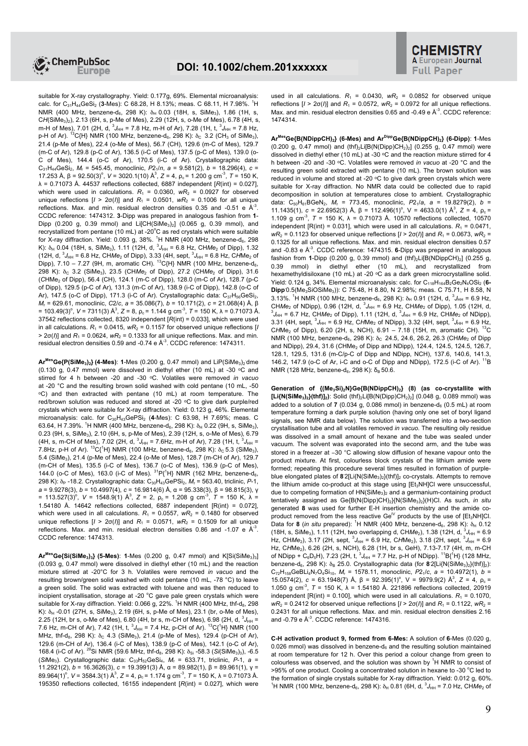

suitable for X-ray crystallography. Yield: 0.177g, 69%. Elemental microanalysis: calc. for C<sub>31</sub>H<sub>44</sub>GeSi<sub>2</sub> (3-Mes): C 68.28, H 8.13%; meas. C 68.11, H 7.98%. <sup>1</sup>H NMR (400 MHz, benzene-d<sub>6</sub>, 298 K):  $\delta_H$  0.03 (18H, s, SiMe<sub>3</sub>), 1.86 (1H, s, CH(SiMe<sub>3</sub>)<sub>2</sub>), 2.13 (6H, s, p-Me of Mes), 2.29 (12H, s, o-Me of Mes), 6.78 (4H, s, m-H of Mes), 7.01 (2H, d, <sup>3</sup>J<sub>HH</sub> = 7.8 Hz, m-H of Ar), 7.28 (1H, t, <sup>3</sup>J<sub>HH</sub> = 7.8 Hz, p-H of Ar). <sup>13</sup>C{H} NMR (100 MHz, benzene-d<sub>6</sub>, 298 K):  $\delta_c$  3.2 (CH<sub>3</sub> of SiMe<sub>3</sub>), 21.4 (p-Me of Mes), 22.4 (o-Me of Mes), 56.7 (CH), 129.6 (m-C of Mes), 129.7 (m-C of Ar), 129.8 (p-C of Ar), 136.5 (i-C of Mes), 137.5 (p-C of Mes), 139.0 (o-C of Mes), 144.4 (o-C of Ar), 170.5 (i-C of Ar). Crystallographic data: C31H44GeSi2, *M*<sup>r</sup> = 545.45, monoclinic, *P*21/*n*, *a* = 9.581(2), *b* = 18.296(4), *c* = 17.253 Å, β = 92.50(3)<sup>o</sup>, *V* = 3020.1(10) Å<sup>3</sup>, *Z* = 4, ρ<sub>c</sub> = 1.200 g cm<sup>-3</sup>, *T* = 150 K, λ = 0.71073 Å. 44537 reflections collected, 6887 independent [*R*(int) = 0.027], which were used in calculations.  $R_1 = 0.0360$ ,  $wR_2 = 0.0927$  for observed unique reflections  $[I > 2\sigma(I)]$  and  $R_1 = 0.0501$ ,  $wR_2 = 0.1006$  for all unique reflections. Max. and min. residual electron densities 0.35 and -0.51 e  $A^3$ . CCDC reference: 1474312. **3**-Dipp was prepared in analogous fashion from **1**- Dipp (0.200 g, 0.39 mmol) and Li $[CH(SiMe<sub>3</sub>)<sub>2</sub>]$  (0.065 g, 0.39 mmol), and recrystallized from pentane (10 mL) at -20 $^{\circ}$ C as red crystals which were suitable for X-ray diffraction. Yield: 0.093 g, 38%. <sup>1</sup>H NMR (400 MHz, benzene-d<sub>6</sub>, 298 K):  $\delta_H$  0.04 (18H, s, SiMe<sub>3</sub>), 1.11 (12H, d,  ${}^3J_{HH}$  = 6.8 Hz, CHMe<sub>2</sub> of Dipp), 1.32 (12H, d,  ${}^{3}J_{HH}$  = 6.8 Hz, CH*Me*<sub>2</sub> of Dipp), 3.33 (4H, sept,  ${}^{3}J_{HH}$  = 6.8 Hz, C*H*Me<sub>2</sub> of Dipp), 7.10 – 7.27 (9H, m, aromatic CH). <sup>13</sup>C{H} NMR (100 MHz, benzene-d<sub>6</sub>, 298 K): δ<sup>C</sup> 3.2 (SiMe3), 23.5 (CH*Me*<sup>2</sup> of Dipp), 27.2 (CH*Me*<sup>2</sup> of Dipp), 31.6 (CHMe<sub>2</sub> of Dipp), 56.4 (CH), 124.1 (m-C of Dipp), 128.0 (m-C of Ar), 128.7 (p-C of Dipp), 129.5 (p-C of Ar), 131.3 (m-C of Ar), 138.9 (i-C of Dipp), 142.8 (o-C of Ar), 147.5 (o-C of Dipp), 171.3 (i-C of Ar). Crystallographic data:  $C_{37}H_{56}GeSi_2$ , *M*<sup>r</sup> = 629.61, monoclinic, *C*2/*c*, *a* = 35.086(7), *b* = 10.171(2), *c* = 21.068(4) Å, β = 103.49(3)<sup>o</sup>, *V* = 7311(3) Å<sup>3</sup>, *Z* = 8, ρ<sub>c</sub> = 1.144 g cm<sup>-3</sup>, *T* = 150 K, λ = 0.71073 Å. 37542 reflections collected, 8320 independent [*R*(int) = 0.033], which were used in all calculations.  $R_1 = 0.0415$ ,  $wR_2 = 0.1157$  for observed unique reflections [*I*  $> 2\sigma(l)$ ] and  $R_1 = 0.0624$ ,  $wR_2 = 0.1333$  for all unique reflections. Max. and min. residual electron densities 0.59 and -0.74 e  $A^{-3}$ . CCDC reference: 1474311.

**ArMesGe{P(SiMe3)2} (4-Mes)**: **1**-Mes (0.200 g, 0.47 mmol) and LiP(SiMe3)<sup>2</sup> . dme (0.130 g, 0.47 mmol) were dissolved in diethyl ether (10 mL) at -30  $\,^{\circ}$ C and stirred for 4 h between -20 and -30 ᵒC. Volatiles were removed *in vacuo* at -20 °C and the resulting brown solid washed with cold pentane (10 mL, -50 ᵒC) and then extracted with pentane (10 mL) at room temperature. The red/brown solution was reduced and stored at -20 °C to give dark purple/red crystals which were suitable for X-ray diffraction. Yield: 0.123 g, 46%. Elemental microanalysis: calc. for C30H43GePSi2 (**4**-Mes): C 63.98, H 7.69%; meas. C 63.64, H 7.39%. <sup>1</sup>H NMR (400 MHz, benzene-d<sub>6</sub>, 298 K):  $\delta_H$  0.22 (9H, s, SiMe<sub>3</sub>), 0.23 (9H, s, SiMe<sub>3</sub>), 2.10 (6H, s, p-Me of Mes), 2.39 (12H, s, o-Me of Mes), 6.79 (4H, s, m-CH of Mes), 7.02 (2H, d,  $^{3}J_{HH}$  = 7.6Hz, m-H of Ar), 7.28 (1H, t,  $^{3}J_{HH}$  = 7.8Hz, p-H of Ar).  ${}^{13}C_1{}^{1}H_1$  NMR (100 MHz, benzene-d<sub>6</sub>, 298 K):  $\delta_c$  5.3 (SiMe<sub>3</sub>), 5.4 (SiMe3), 21.4 (p-Me of Mes), 22.4 (o-Me of Mes), 128.7 (m-CH of Ar), 129.7 (m-CH of Mes), 135.5 (i-C of Mes), 136.7 (o-C of Mes), 136.9 (p-C of Mes), 144.0 (o-C of Mes), 163.0 (i-C of Mes).  ${}^{31}P_1{}^{1}H$ } NMR (162 MHz, benzene-d<sub>6</sub>, 298 K): δ<sub>P</sub> -18.2. Crystallographic data: C<sub>30</sub>H<sub>43</sub>GePSi<sub>2</sub>, M<sub>r</sub> = 563.40, triclinic, *P*-1, *a* = 9.9278(3), *b* = 10.4997(4), *c* = 16.9814(6) Å, α = 95.338(3), β = 98.815(3), γ = 113.527(3)<sup>o</sup>,  $V = 1548.9(1)$   $\text{\AA}^3$ ,  $Z = 2$ ,  $\rho_c = 1.208$  g cm<sup>-3</sup>,  $T = 150$  K,  $\lambda =$ 1.54180 Å. 14642 reflections collected, 6887 independent [R(int) = 0.072], which were used in all calculations.  $R_1 = 0.0557$ ,  $wR_2 = 0.1480$  for observed unique reflections  $[I > 2\sigma(I)]$  and  $R_1 = 0.0571$ ,  $wR_2 = 0.1509$  for all unique reflections. Max. and min. residual electron densities 0.86 and -1.07 e  $A^3$ . CCDC reference: 1474313.

**ArMesGe{Si(SiMe3)3} (5-Mes)**: **1**-Mes (0.200 g, 0.47 mmol) and K[Si(SiMe3)3] (0.093 g, 0.47 mmol) were dissolved in diethyl ether (10 mL) and the reaction mixture stirred at -20°C for 3 h. Volatiles were removed *in vacuo* and the resulting brown/green solid washed with cold pentane (10 mL, -78 °C) to leave a green solid. The solid was extracted with toluene and was then reduced to incipient crystallisation, storage at -20 °C gave pale green crystals which were suitable for X-ray diffraction. Yield: 0.066 g, 22%.  $^{1}$ H NMR (400 MHz, thf-d $_{8}$ , 298 K):  $δ_H -0.01$  (27H, s, SiMe<sub>3</sub>), 2.19 (6H, s, p-Me of Mes), 23.1 (br, o-Me of Mes), 2.25 (12H, br s, o-Me of Mes), 6.80 (4H, br s, m-CH of Mes), 6.98 (2H, d,  $^3J_{\text{HH}}$  = 7.6 Hz, m-CH of Ar), 7.42 (1H, t,  ${}^{3}J_{HH}$  = 7.4 Hz, p-CH of Ar). <sup>13</sup>C{<sup>1</sup>H} NMR (100 MHz, thf-d<sub>8</sub>, 298 K):  $\delta_c$  4.3 (SiMe<sub>3</sub>), 21.4 (p-Me of Mes), 129.4 (p-CH of Ar), 129.6 (m-CH of Ar), 136.4 (i-C of Mes), 138.9 (p-C of Mes), 142.1 (o-C of Ar), 168.4 (i-C of Ar). <sup>29</sup>Si NMR (59.6 MHz, thf-d<sub>8</sub>, 298 K): δ<sub>Si</sub> -58.3 (*Si*(SiMe<sub>3</sub>)<sub>3</sub>), -6.5 (*Si*Me<sub>3</sub>). Crystallographic data: C<sub>33</sub>H<sub>52</sub>GeSi<sub>4</sub>, M<sub>r</sub> = 633.71, triclinic, P-1, a = 11.2921(2), *b* = 16.3626(3), *c* = 19.3991(3) Å, α = 89.982(1), β = 89.961(1), γ = 89.964(1)<sup>o</sup>, *V* = 3584.3(1) Å<sup>3</sup>, *Z* = 4, ρ<sub>c</sub> = 1.174 g cm<sup>-3</sup>, *T* = 150 K, λ = 0.71073 Å. 195350 reflections collected, 16155 independent [*R*(int) = 0.027], which were

used in all calculations.  $R_1 = 0.0430$ ,  $wR_2 = 0.0852$  for observed unique reflections  $[I > 2\sigma(I)]$  and  $R_1 = 0.0572$ ,  $wR_2 = 0.0972$  for all unique reflections. Max. and min. residual electron densities 0.65 and -0.49 e  $A^3$ . CCDC reference: 1474314.

**ArMesGe{B(NDippCH)2} (6-Mes) and ArDippGe{B(NDippCH)2} (6-Dipp)**: **1**-Mes (0.200 g, 0.47 mmol) and  $(thf)<sub>2</sub>Li[B(N(Dipp)CH<sub>2</sub>)<sub>2</sub>]$  (0.255 g, 0.47 mmol) were dissolved in diethyl ether (10 mL) at -30  $\circ$ C and the reaction mixture stirred for 4 h between -20 and -30 ᵒC. Volatiles were removed *in vacuo* at -20 °C and the resulting green solid extracted with pentane (10 mL). The brown solution was reduced in volume and stored at -20 °C to give dark green crystals which were suitable for X-ray diffraction. No NMR data could be collected due to rapid decomposition in solution at temperatures close to ambient. Crystallographic data:  $C_{50}H_{61}BGeN_2$ ,  $M_r = 773.45$ , monoclinic,  $P2_1/a$ ,  $a = 19.8279(2)$ ,  $b =$ 11.1435(1),  $c = 22.6952(3)$  Å,  $β = 112.496(1)°$ ,  $V = 4633.0(1)$  Å<sup>3</sup>,  $Z = 4$ ,  $ρ_c =$ 1.109 g cm<sup>-3</sup>,  $T = 150$  K,  $\lambda = 0.71073$  Å. 10570 reflections collected, 10570 independent  $[R(int) = 0.031]$ , which were used in all calculations.  $R_1 = 0.0471$ , *wR*<sub>2</sub> = 0.1123 for observed unique reflections  $I/$  > 2σ(*I*)] and  $R_1$  = 0.0673, *wR*<sub>2</sub> = 0.1325 for all unique reflections. Max. and min. residual electron densities 0.57 and -0.83 e Å<sup>-3</sup>. CCDC reference: 1474315. **6**-Dipp was prepared in analogous fashion from **1**-Dipp (0.200 g, 0.39 mmol) and  $(thf)<sub>2</sub>Li[B(NDippCH)<sub>2</sub>]$  (0.255 g, 0.39 mmol) in diethyl ether (10 mL), and recrystallized from hexamethyldisiloxane (10 mL) at -20 °C as a dark green microcrystalline solid. Yield: 0.124 g, 34%. Elemental microanalysis: calc. for C<sub>118</sub>H<sub>164</sub>B<sub>2</sub>Ge<sub>2</sub>N<sub>4</sub>OSi<sub>2</sub> (6-Dipp<sup>o.</sup>5(Me<sub>3</sub>SiOSiMe<sub>3</sub>)): C 75.48, H 8.80, N 2.98%; meas. C 75.71, H 8.58, N 3.13%. <sup>1</sup>H NMR (100 MHz, benzene-d<sub>6</sub>, 298 K):  $\delta_H$  0.91 (12H, d,  $\delta_{HH}$  = 6.9 Hz, CHMe<sub>2</sub> of NDipp), 0.96 (12H, d,  ${}^{3}J_{HH}$  = 6.9 Hz, CHMe<sub>2</sub> of Dipp), 1.05 (12H, d,  ${}^{3}J_{HH}$  = 6.7 Hz, CHMe<sub>2</sub> of Dipp), 1.11 (12H, d,  ${}^{3}J_{HH}$  = 6.9 Hz, CHMe<sub>2</sub> of NDipp), 3.31 (4H, sept,  ${}^{3}J_{HH}$  = 6.9 Hz, CHMe<sub>2</sub> of NDipp), 3.32 (4H, sept,  ${}^{3}J_{HH}$  = 6.9 Hz, CHMe<sub>2</sub> of Dipp), 6.20 (2H, s, NCH), 6.91 – 7.18 (15H, m, aromatic CH). <sup>13</sup>C NMR (100 MHz, benzene-d<sub>6</sub>, 298 K): δ<sub>C</sub> 24.5, 24.6, 26.2, 26.3 (CHMe<sub>2</sub> of Dipp and NDipp), 29.4, 31.6 (*CHMe<sub>2</sub>* of Dipp and NDipp), 124.4, 124.5, 124.5, 126.7, 128.1, 129.5, 131.6 (m-C/p-C of Dipp and NDipp, NCH), 137.6, 140.6, 141.3, 146.2, 147.9 (o-C of Ar, i-C and o-C of Dipp and NDipp), 172.5 (i-C of Ar). <sup>11</sup>B NMR (128 MHz, benzene-d<sub>6</sub>, 298 K): δ<sub>B</sub> 50.6.

**Generation of {(Me3Si)2N}Ge{B(NDippCH)2} (8) (as co-crystallite with [Li{N(SiMe3)2}(thf)]2)**: Solid (thf)2Li[B(N(Dipp)CH2)2] (0.048 g, 0.089 mmol) was added to a solution of  $7$  (0.034 g, 0.086 mmol) in benzene-d<sub>6</sub> (0.5 mL) at room temperature forming a dark purple solution (having only one set of boryl ligand signals, see NMR data below). The solution was transferred into a two-section crystallisation tube and all volatiles removed *in vacuo*. The resulting oily residue was dissolved in a small amount of hexane and the tube was sealed under vacuum. The solvent was evaporated into the second arm, and the tube was stored in a freezer at −30 °C allowing slow diffusion of hexane vapour onto the product mixture. At first, colourless block crystals of the lithium amide were formed; repeating this procedure several times resulted in formation of purpleblue elongated plates of 8<sup>2</sup>[Li{N(SiMe<sub>3</sub>)<sub>2</sub>}(thf)]<sub>2</sub> co-crystals. Attempts to remove the lithium amide co-product at this stage using [Et<sub>3</sub>NH]Cl were unsuccessful, due to competing formation of HN(SiMe<sub>3</sub>)<sub>2</sub> and a germanium-containing product tentatively assigned as Ge{B(N(Dipp)CH)2}{N(SiMe3)2}(H)Cl. As such, *in situ* generated **8** was used for further E-H insertion chemistry and the amide coproduct removed from the less reactive  $\text{Ge}^{\mathbb{I}^{\vee}}$  products by the use of  $\text{[Et}_{3}\text{NH}]$ Cl. Data for 8 (*in situ* prepared): <sup>1</sup>H NMR (400 MHz, benzene-d<sub>6</sub>, 298 K):  $\delta_H$  0.12 (18H, s, SiMe<sub>3</sub>), 1.11 (12H, two overlapping d, CHMe<sub>2</sub>), 1.38 (12H, d,  ${}^{3}J_{HH} = 6.9$ Hz, CHMe<sub>2</sub>), 3.17 (2H, sept,  ${}^{3}J_{HH}$  = 6.9 Hz, CHMe<sub>2</sub>), 3.18 (2H, sept,  ${}^{3}J_{HH}$  = 6.9 Hz, С*H*Me<sub>2</sub>), 6.26 (2H, s, NCH), 6.28 (1H, br s, GeH), 7.13-7.17 (4H, m, m-CH<br>of NDipp + C<sub>6</sub>D<sub>5</sub>H), 7.23 (2H, t, <sup>3</sup>Ј<sub>НН</sub> = 7.7 Hz, p-H of NDipp). <sup>11</sup>B{<sup>1</sup>H} (128 MHz, benzene-d<sub>6</sub>, 298 K): δ<sub>B</sub> 25.0. Crystallographic data (for 8 2[Li{N(SiMe<sub>3</sub>)<sub>2</sub>}(thf)]<sub>2</sub>):  $C_{72}H_{158}GeBLi_4N_7O_4Si_{10}$ ,  $M_r = 1578.11$ , monoclinic,  $P2_1/c$ ,  $a = 10.4972(1)$ ,  $b =$ 15.0574(2),  $c = 63.1948(7)$  Å,  $β = 92.395(1)°$ ,  $V = 9979.9(2)$  Å<sup>3</sup>,  $Z = 4$ ,  $ρ_c =$ 1.050 g cm<sup>-3</sup>,  $T = 150$  K,  $\lambda = 1.54180$  Å. 221896 reflections collected, 20919 independent  $[R(int) = 0.100]$ , which were used in all calculations.  $R_1 = 0.1070$ , *wR*<sub>2</sub> = 0.2412 for observed unique reflections  $[1 > 2\sigma(1)]$  and  $R_1 = 0.1122$ ,  $wR_2 =$ 0.2431 for all unique reflections. Max. and min. residual electron densities 2.16 and  $-0.79$  e  $\mathbb{A}^3$ . CCDC reference: 1474316.

**C-H activation product 9, formed from 6-Mes:** A solution of **6**-Mes (0.020 g, 0.026 mmol) was dissolved in benzene- $d_6$  and the resulting solution maintained at room temperature for 12 h. Over this period a colour change from green to colourless was observed, and the solution was shown by  ${}^{1}$ H NMR to consist of >95% of one product. Cooling a concentrated solution in hexane to -30 °C led to the formation of single crystals suitable for X-ray diffraction. Yield: 0.012 g, 60%. <sup>1</sup>H NMR (100 MHz, benzene-d<sub>6</sub>, 298 K):  $δ_H$  0.81 (6H, d,  $³J_{HH}$  = 7.0 Hz, CHMe<sub>2</sub> of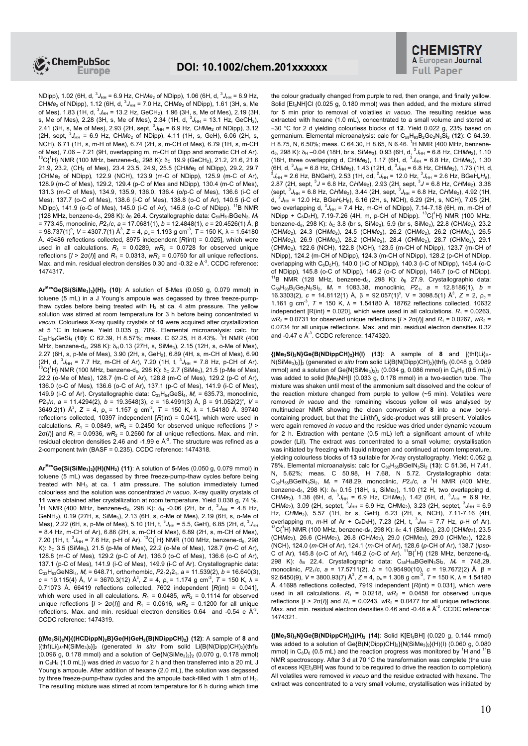

NDipp), 1.02 (6H, d, <sup>3</sup>J<sub>HH</sub> = 6.9 Hz, CH*Me*<sub>2</sub> of NDipp), 1.06 (6H, d, <sup>3</sup>J<sub>HH</sub> = 6.9 Hz, CHMe<sub>2</sub> of NDipp), 1.12 (6H, d,  ${}^{3}J_{HH}$  = 7.0 Hz, CHMe<sub>2</sub> of NDipp), 1.61 (3H, s, Me of Mes), 1.83 (1H, d,  ${}^{3}J_{\text{HH}}$  = 13.2 Hz, GeCH<sub>2</sub>), 1.96 (3H, s, Me of Mes), 2.19 (3H, s, Me of Mes), 2.28 (3H, s, Me of Mes), 2.34 (1H, d, <sup>3</sup>J<sub>HH</sub> = 13.1 Hz, GeCH<sub>2</sub>),<br>2.41 (3H, s, Me of Mes), 2.93 (2H, sept, <sup>3</sup>J<sub>HH</sub> = 6.9 Hz, C*H*Me<sub>2</sub> of NDipp), 3.12 (2H, sept,  ${}^{3}J_{HH}$  = 6.9 Hz, CHMe<sub>2</sub> of NDipp), 4.11 (1H, s, GeH), 6.06 (2H, s, NCH), 6.71 (1H, s, m-H of Mes), 6.74 (2H, s, m-CH of Mes), 6.79 (1H, s, m-CH of Mes), 7.06 – 7.21 (9H, overlapping m, m-CH of Dipp and aromatic CH of Ar).  $^{13}C(^{1}H)$  NMR (100 MHz, benzene-d<sub>6</sub>, 298 K): δ<sub>C</sub> 19.9 (GeCH<sub>2</sub>), 21.2, 21.6, 21.6 21.9, 23.2, (CH<sub>3</sub> of Mes), 23.4 23.5, 24.9, 25.5 (CHMe<sub>2</sub> of NDipp), 29.2, 29.7 (*C*HMe<sup>2</sup> of NDipp), 122.9 (NCH), 123.9 (m-C of NDipp), 125.9 (m-C of Ar), 128.9 (m-C of Mes), 129.2, 129.4 (p-C of Mes and NDipp), 130.4 (m-C of Mes), 131.3 (m-C of Mes), 134.9, 135.9, 136.0, 136.4 (o/p-C of Mes), 136.6 (i-C of Mes), 137.7 (o-C of Mes), 138.6 (i-C of Mes), 138.8 (o-C of Ar), 140.5 (i-C of NDipp), 141.9 (o-C of Mes), 145.0 (i-C of Ar), 145.8 (o-C of NDipp). <sup>11</sup>B NMR (128 MHz, benzene-d<sub>6</sub>, 298 K): δ<sub>B</sub> 26.4. Crystallographic data: C<sub>50</sub>H<sub>61</sub>BGeN<sub>2</sub>, M<sub>r</sub> = 773.45, monoclinic, *P*21/*c*, *a* = 17.0681(1), *b* = 12.4848(1), *c* = 20.4526(1) Å, β = 98.737(1)<sup>o</sup>, *V* = 4307.7(1) Å<sup>3</sup>, *Z* = 4, ρ<sub>c</sub> = 1.193 g cm<sup>-3</sup>, *T* = 150 K, λ = 1.54180 Å. 49486 reflections collected, 8975 independent [*R*(int) = 0.025], which were used in all calculations.  $R_1 = 0.0289$ ,  $wR_2 = 0.0728$  for observed unique reflections  $[I > 2\sigma(I)]$  and  $R_1 = 0.0313$ ,  $wR_2 = 0.0750$  for all unique reflections. Max. and min. residual electron densities  $0.30$  and  $-0.32$  e  $\mathbb{A}^{-3}$ . CCDC reference: 1474317.

**ArMesGe{Si(SiMe3)3}(H)<sup>2</sup> (10)**: A solution of **5**-Mes (0.050 g, 0.079 mmol) in toluene (5 mL) in a J Young's ampoule was degassed by three freeze-pumpthaw cycles before being treated with  $H_2$  at ca. 4 atm pressure. The yellow solution was stirred at room temperature for 3 h before being concentrated *in vacuo*. Colourless X-ray quality crystals of **10** were acquired after crystallization at 5 °C in toluene. Yield 0.035 g, 70%. Elemental microanalysis: calc. for C<sub>33</sub>H<sub>54</sub>GeSi<sub>4</sub> (10): C 62.39, H 8.57%; meas. C 62.25, H 8.43%. <sup>1</sup>H NMR (400 MHz, benzene-d<sub>6</sub>, 298 K); δ<sub>H</sub> 0.13 (27H, s, SiMe<sub>3</sub>), 2.15 (12H, s, o-Me of Mes), 2.27 (6H, s, p-Me of Mes), 3.90 (2H, s, GeH<sub>2</sub>), 6.89 (4H, s, m-CH of Mes), 6.90 (2H, d,  ${}^{3}J_{HH}$  = 7.7 Hz, m-CH of Ar), 7.20 (1H, t,  ${}^{3}J_{HH}$  = 7.8 Hz, p-CH of Ar).  $\rm ^{13}C(^{1}H)$  NMR (100 MHz, benzene-d $_{6}$ , 298 K):  $\rm \delta_{C}$  2.7 (SiMe $\rm _{3})$ , 21.5 (p-Me of Mes), 22.2 (o-Me of Mes), 128.7 (m-C of Ar), 128.8 (m-C of Mes), 129.2 (p-C of Ar), 136.0 (o-C of Mes), 136.6 (o-C of Ar), 137.1 (p-C of Mes), 141.9 (i-C of Mes), 149.9 (i-C of Ar). Crystallographic data: C33H54GeSi4, *M*<sup>r</sup> = 635.73, monoclinic, *P*2<sub>1</sub>/*n*, *a* = 11.4294(2), *b* = 19.3548(3), *c* = 16.4991(3) Å, β = 91.052(2)<sup>o</sup>, *V* = 3649.2(1)  $\mathbb{A}^3$ , *Z* = 4,  $\rho_c$  = 1.157 g cm<sup>-3</sup>, *T* = 150 K,  $\lambda$  = 1.54180 Å. 39740 reflections collected, 10397 independent [*R*(int) = 0.041], which were used in calculations.  $R_1 = 0.0849$ ,  $wR_2 = 0.2450$  for observed unique reflections  $\left| I \right|$  $2\sigma(l)$ ] and  $R_1$  = 0.0936,  $wR_2$  = 0.2560 for all unique reflections. Max. and min. residual electron densities 2.46 and -1.99 e  $A^3$ . The structure was refined as a 2-component twin (BASF = 0.235). CCDC reference: 1474318.

**ArMesGe{Si(SiMe3)3}(H)(NH2) (11)**: A solution of **5**-Mes (0.050 g, 0.079 mmol) in toluene (5 mL) was degassed by three freeze-pump-thaw cycles before being treated with  $NH<sub>3</sub>$  at ca. 1 atm pressure. The solution immediately turned colourless and the solution was concentrated *in vacuo*. X-ray quality crystals of **11** were obtained after crystallization at room temperature. Yield 0.038 g, 74 %. <sup>1</sup>H NMR (400 MHz, benzene-d<sub>6</sub>, 298 K):  $\delta_H$  -0.06 (2H, br d,  ${}^3J_{HH}$  = 4.8 Hz, GeNH<sub>2</sub>), 0.19 (27H, s, SiMe<sub>3</sub>), 2.13 (6H, s, o-Me of Mes), 2.19 (6H, s, o-Me of Mes), 2.22 (6H, s, p-Me of Mes), 5.10 (1H, t,  $^3J_{\text{HH}}$  = 5.5, GeH), 6.85 (2H, d,  $^3J_{\text{HH}}$ = 8.4 Hz, m-CH of Ar), 6.86 (2H, s, m-CH of Mes), 6.89 (2H, s, m-CH of Mes), 7.20 (1H, t,  ${}^{3}J_{HH}$  = 7.6 Hz, p-H of Ar).  ${}^{13}C({}^{1}H)$  NMR (100 MHz, benzene-d<sub>6</sub>, 298 K):  $δ<sub>C</sub> 3.5$  (SiMe<sub>3</sub>), 21.5 (p-Me of Mes), 22.2 (o-Me of Mes), 128.7 (m-C of Ar), 128.8 (m-C of Mes), 129.2 (p-C of Ar), 136.0 (o-C of Mes), 136.6 (o-C of Ar), 137.1 (p-C of Mes), 141.9 (i-C of Mes), 149.9 (i-C of Ar). Crystallographic data:  $C_{33}H_{53}$ GeNSi<sub>4</sub>,  $M_f$  = 648.71, orthorhombic,  $P2_12_12_1$ ,  $a = 11.539(2)$ ,  $b = 16.640(3)$ ,  $c = 19.115(4)$  Å,  $V = 3670.3(12)$  Å<sup>3</sup>,  $Z = 4$ ,  $\rho_c = 1.174$  g cm<sup>-3</sup>,  $T = 150$  K,  $\lambda =$ 0.71073 Å. 66419 reflections collected, 7602 independent [*R*(int) = 0.041], which were used in all calculations.  $R_1 = 0.0485$ ,  $wR_2 = 0.1114$  for observed unique reflections  $[I > 2\sigma(I)]$  and  $R_1 = 0.0616$ ,  $W_{2} = 0.1200$  for all unique reflections. Max. and min. residual electron densities 0.64 and -0.54 e  $A^3$ . CCDC reference: 1474319.

**{(Me3Si)2N}{(HCDippN)2B}Ge(H)GeH2{B(NDippCH)2} (12)**: A sample of **8** and  $[(\text{thf})L]\{u-N(\text{SiMe}_3)_2\}]_2$  (generated *in situ* from solid Li{B(N(Dipp)CH)<sub>2</sub>}(thf)<sub>2</sub>  $(0.096 \text{ g}, 0.178 \text{ mmol})$  and a solution of Ge $(N(SiMe<sub>3</sub>)<sub>2</sub>)<sub>2</sub>$  (0.070 g, 0.178 mmol) in C6H6 (1.0 mL)) was dried *in vacuo* for 2 h and then transferred into a 20 mL J Young's ampoule. After addition of hexane (2.0 mL), the solution was degassed by three freeze-pump-thaw cycles and the ampoule back-filled with 1 atm of H<sub>2</sub>. The resulting mixture was stirred at room temperature for 6 h during which time

the colour gradually changed from purple to red, then orange, and finally yellow. Solid [Et<sub>3</sub>NH]Cl (0.025 g, 0.180 mmol) was then added, and the mixture stirred for 5 min prior to removal of volatiles *in vacuo*. The resulting residue was extracted with hexane (1.0 mL), concentrated to a small volume and stored at −30 °C for 2 d yielding colourless blocks of **12**. Yield 0.022 g, 23% based on germanium. Elemental microanalysis: calc for C<sub>58</sub>H<sub>93</sub>B<sub>2</sub>Ge<sub>2</sub>N<sub>5</sub>Si<sub>2</sub> (12): C 64.39, H 8.75, N, 6.50%; meas. C 64.30, H 8.65, N 6.46. <sup>1</sup>H NMR (400 MHz, benzene $d_6$ , 298 K):  $\delta_H$  –0.04 (18H, br s, SiMe<sub>3</sub>), 0.93 (6H, d,  ${}^3J_{HH}$  = 6.8 Hz, CHMe<sub>2</sub>), 1.10 (18H, three overlapping d, CHMe<sub>2</sub>), 1.17 (6H, d,  $^{3}J_{HH}$  = 6.8 Hz, CHMe<sub>2</sub>), 1.30 (6H, d,  ${}^{3}J_{HH}$  = 6.8 Hz, CHMe<sub>2</sub>), 1.43 (12H, d,  ${}^{3}J_{HH}$  = 6.8 Hz, CHMe<sub>2</sub>), 1.73 (1H, d,  $^3J_{\text{HH}}$  = 2.6 Hz, BNGeH), 2.53 (1H, dd,  $^2J_{\text{HH}}$  = 12.0 Hz,  $^3J_{\text{HH}}$  = 2.6 Hz, BGeH<sub>a</sub>H<sub>β</sub>), 2.87 (2H, sept,  $^3J$  = 6.8 Hz, CHMe<sub>2</sub>), 3.38<br>2.87 (2H, sept,  $^3J$  = 6.8 Hz, CHMe<sub>2</sub>), 2.93 (2H, sept,  $^3J_{\text{HH}}$  = d, <sup>2</sup>J<sub>HH</sub> = 12.0 Hz, BGeH<sub>a</sub>H<sub>β</sub>), 6.16 (2H, s, NCH), 6.29 (2H, s, NCH), 7.05 (2H, two overlapping d, <sup>3</sup>J<sub>HH</sub> = 7.4 Hz, m-CH of NDipp), 7.14-7.18 (6H, m, m-CH of<br>NDipp + C<sub>6</sub>D<sub>5</sub>H), 7.19-7.26 (4H, m, p-CH of NDipp). <sup>13</sup>C{<sup>1</sup>H} NMR (100 MHz, benzene-d<sub>6</sub>, 298 K): δ<sub>C</sub> 3.8 (br s, SiMe<sub>3</sub>), 5.9 (br s, SiMe<sub>3</sub>), 22.8 (CHMe<sub>2</sub>), 23.2 (CHMe<sub>2</sub>), 24.3 (CHMe<sub>2</sub>), 24.5 (CHMe<sub>2</sub>), 26.2 (CHMe<sub>2</sub>), 26.2 (CHMe<sub>2</sub>), 26.5 (CH*Me*2), 26.9 (CH*Me*2), 28.2 (*C*HMe2), 28.4 (*C*HMe2), 28.7 (*C*HMe2), 29.1 (*C*HMe2), 122.6 (NCH), 122.8 (NCH), 123.5 (m-CH of NDipp), 123.7 (m-CH of NDipp), 124.2 (m-CH of NDipp), 124.3 (m-CH of NDipp), 128.2 (p-CH of NDipp, overlapping with  $C_6D_5H$ ), 140.0 (i-C of NDipp), 140.3 (i-C of NDipp), 145.4 (o-C of NDipp), 145.8 (o-C of NDipp), 146.2 (o-C of NDipp), 146.7 (o-C of NDipp). <sup>1</sup>B NMR (128 MHz, benzene-d<sub>6</sub>, 298 K):  $\delta_B$  27.9. Crystallographic data: C58H93B2Ge2N5Si2, *M*<sup>r</sup> = 1083.38, monoclinic, *P*21, *a* = 12.8186(1), *b* = 16.3303(2),  $c = 14.8112(1)$  Å,  $β = 92.057(1)°$ ,  $V = 3098.5(1)$  Å<sup>3</sup>,  $Z = 2$ ,  $ρ_c =$ 1.161 g cm<sup>-3</sup>,  $T = 150$  K,  $\lambda = 1.54180$  Å. 18762 reflections collected, 10632 independent  $[R(int) = 0.020]$ , which were used in all calculations.  $R_1 = 0.0263$ ,  $wR_2 = 0.0731$  for observed unique reflections  $[I \ge 2\sigma(I)]$  and  $R_1 = 0.0267$ ,  $wR_2 =$ 0.0734 for all unique reflections. Max. and min. residual electron densities 0.32 and  $-0.47$  e  $A^{-3}$ . CCDC reference: 1474320.

**{(Me3Si)2N}Ge{B(NDippCH)2}H(I) (13)**: A sample of **8** and [(thf)Li{µ-N(SiMe<sub>3</sub>)<sub>2</sub>}]<sub>2</sub> (generated *in situ* from solid Li{B(N(Dipp)CH)<sub>2</sub>}(thf)<sub>2</sub> (0.048 g, 0.089 mmol) and a solution of Ge{N(SiMe<sub>3)2</sub>}<sub>2</sub> (0.034 g, 0.086 mmol) in C<sub>6</sub>H<sub>6</sub> (0.5 mL)) was added to solid [Me<sub>3</sub>NH]I (0.033 g, 0.178 mmol) in a two-section tube. The mixture was shaken until most of the ammonium salt dissolved and the colour of the reaction mixture changed from purple to yellow (~5 min). Volatiles were removed *in vacuo* and the remaining viscous yellow oil was analysed by multinuclear NMR showing the clean conversion of **8** into a new borylcontaining product, but that the  $Lil(thf)_x$  side-product was still present. Volatiles were again removed *in vacuo* and the residue was dried under dynamic vacuum for 2 h. Extraction with pentane  $(0.5 \text{ ml})$  left a significant amount of white powder (LiI). The extract was concentrated to a small volume; crystallisation was initiated by freezing with liquid nitrogen and continued at room temperature, yielding colourless blocks of **13** suitable for X-ray crystallography. Yield: 0.052 g, 78%. Elemental microanalysis: calc for C32H55BGeIN3Si2 (**13**): C 51.36, H 7.41, N, 5.62%; meas. C 50.98, H 7.68, N 5.72. Crystallographic data:  $C_{32}H_{55}BGeIN_3Si_2$ ,  $M_r = 748.29$ , monoclinic,  $P2_1/c$ ,  $a^{-1}H NMR$  (400 MHz, benzene-d<sub>6</sub>, 298 K):  $\delta_H$  0.15 (18H, s, SiMe<sub>3</sub>), 1.10 (12 H, two overlapping d, CH*Me*<sub>2</sub>), 1.38 (6H, d, <sup>3</sup>J<sub>HH</sub> = 6.9 Hz, CH*Me*<sub>2</sub>), 1.42 (6H, d, <sup>3</sup>J<sub>HH</sub> = 6.9 Hz, CH*Me*<sub>2</sub>), 3.09 (2H, septet, <sup>3</sup>J<sub>HH</sub> = 6.9 Hz, CHMe<sub>2</sub>), 5.57 (1H, br s, GeH), 6.23 (2H, s, NCH), 7.11-7.16 (4H, overlapping m, *m*-H of Ar - C<sub>6</sub>D<sub>5</sub>H), 7.23 (2H, t, <sup>3</sup>J<sub>HH</sub> = 7.7 Hz, *p*-H of Ar).  $13C$ <sup>1</sup>H} NMR (100 MHz, benzene-d<sub>6</sub>, 298 K):  $δ$ <sub>C</sub> 4.1 (SiMe<sub>3</sub>), 23.0 (CHMe<sub>2</sub>), 23.5 (CHMe<sub>2</sub>), 26.6 (CHMe<sub>2</sub>), 26.8 (CHMe<sub>2</sub>), 29.0 (CHMe<sub>2</sub>), 29.0 (CHMe<sub>2</sub>), 122.8 (NCH), 124.0 (*m*-CH of Ar), 124.1 (*m*-CH of Ar), 128.6 (*p*-CH of Ar), 138.7 (*ipso*-C of Ar), 145.8 (o-C of Ar), 146.2 (o-C of Ar). <sup>11</sup>B{<sup>1</sup>H} (128 MHz, benzene-d<sub>6</sub>, 298 K): δ<sub>B</sub> 22.4. Crystallographic data: C<sub>35</sub>H<sub>55</sub>BGeIN<sub>3</sub>Si<sub>2</sub>, M<sub>r</sub> = 748.29, monoclinic, *P*21/*c*, *a* = 17.5711(2), *b* = 10.95490(10), *c* = 19.7672(2) Å, β = 92.6450(9),  $V = 3800.93(7)$  Å<sup>3</sup>,  $Z = 4$ ,  $\rho_c = 1.308$  g cm<sup>-3</sup>,  $T = 150$  K,  $\lambda = 1.54180$ Å. 41698 reflections collected, 7919 independent [*R*(int) = 0.031], which were used in all calculations.  $R_1 = 0.0218$ ,  $wR_2 = 0.0458$  for observed unique reflections  $[I > 2\sigma(I)]$  and  $R_1 = 0.0243$ ,  $wR_2 = 0.0477$  for all unique reflections. Max. and min. residual electron densities 0.46 and -0.46 e  $A^3$ . CCDC reference: 1474321.

**{(Me3Si)2N}Ge{B(NDippCH)2}(H)<sup>2</sup> (14)**: Solid K[Et3BH] (0.020 g, 0.144 mmol) was added to a solution of Ge{B(N(Dipp)CH)<sub>2</sub>}{N(SiMe<sub>3</sub>)<sub>2</sub>}(H)(I) (0.060 g, 0.080 mmol) in  $C_6D_6$  (0.5 mL) and the reaction progress was monitored by <sup>1</sup>H and <sup>11</sup>B NMR spectroscopy. After 3 d at 70 °C the transformation was complete (the use of excess K[Et3BH] was found to be required to drive the reaction to completion). All volatiles were removed *in vacuo* and the residue extracted with hexane. The extract was concentrated to a very small volume, crystallisation was initiated by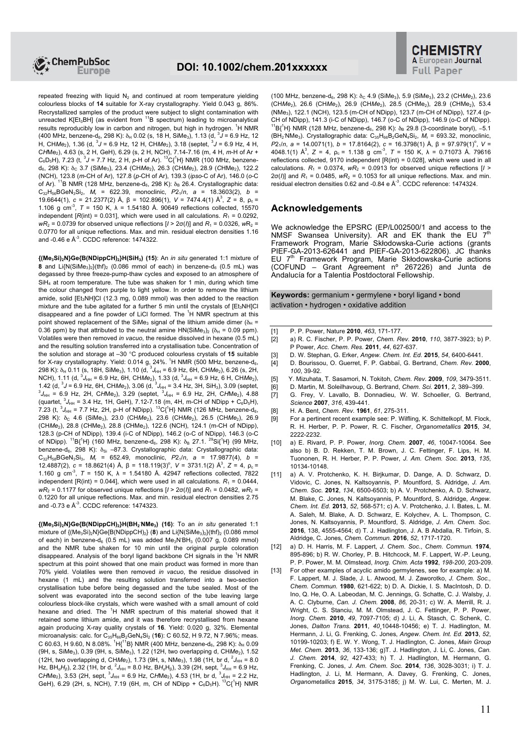

repeated freezing with liquid  $N_2$  and continued at room temperature yielding colourless blocks of **14** suitable for X-ray crystallography. Yield 0.043 g, 86%. Recrystallized samples of the product were subject to slight contamination with unreacted K[Et<sub>3</sub>BH] (as evident from <sup>11</sup>B spectrum) leading to microanalytical results reproducibly low in carbon and nitrogen, but high in hydrogen. <sup>1</sup>H NMR (400 MHz, benzene-d<sub>6</sub>, 298 K):  $\delta_H$  0.02 (s, 18 H, SiMe<sub>3</sub>), 1.13 (d,  $3J = 6.9$  Hz, 12 H, CHMe<sub>2</sub>), 1.36 (d, <sup>3</sup>J = 6.9 Hz, 12 H, CHMe<sub>2</sub>), 3.18 (septet, <sup>3</sup>J = 6.9 Hz, 4 H, C*H*Me2), 4.63 (s, 2 H, GeH), 6.29 (s, 2 H, NCH), 7.14-7.16 (m, 4 H, *m*-H of Ar + C<sub>6</sub>D<sub>5</sub>H), 7.23 (t, <sup>3</sup>J = 7.7 Hz, 2 H, p-H of Ar). <sup>13</sup>C{<sup>1</sup>H} NMR (100 MHz, benzened<sub>6</sub>, 298 K):  $\delta$ <sub>C</sub> 3.7 (SiMe<sub>3</sub>), 23.4 (CHMe<sub>2</sub>), 26.3 (CHMe<sub>2</sub>), 28.9 (CHMe<sub>2</sub>), 122.2 (NCH), 123.8 (*m*-CH of Ar), 127.8 (*p*-CH of Ar), 139.3 (*ipso*-C of Ar), 146.0 (*o*-C of Ar). <sup>11</sup>B NMR (128 MHz, benzene-d<sub>6</sub>, 298 K):  $\delta_B$  26.4. Crystallographic data: C32H56BGeN3Si2, *M*<sup>r</sup> = 622.39, monoclinic, *P*21/*n*, *a* = 18.3603(2), *b* = 19.6644(1),  $c = 21.2377(2)$  Å,  $β = 102.896(1)$ ,  $V = 7474.4(1)$  Å<sup>3</sup>,  $Z = 8$ ,  $ρ_c =$ 1.106 g cm<sup>-3</sup>,  $T = 150$  K,  $\lambda = 1.54180$  Å. 90649 reflections collected, 15570 independent  $[R(int) = 0.031]$ , which were used in all calculations.  $R_1 = 0.0292$ ,  $wR_2 = 0.0739$  for observed unique reflections  $[1 > 2\sigma(i)]$  and  $R_1 = 0.0326$ ,  $wR_2 =$ 0.0770 for all unique reflections. Max. and min. residual electron densities 1.16 and  $-0.46$  e  $\mathbb{A}^3$ . CCDC reference: 1474322.

**{(Me3Si)2N}Ge{B(NDippCH)2}H(SiH3) (15)**: An *in situ* generated 1:1 mixture of **8** and  $Li(N(SiMe<sub>3</sub>)<sub>2</sub>)(thf)<sub>2</sub>$  (0.086 mmol of each) in benzene-d<sub>6</sub> (0.5 mL) was degassed by three freeze-pump-thaw cycles and exposed to an atmosphere of  $SiH<sub>4</sub>$  at room temperature. The tube was shaken for 1 min, during which time the colour changed from purple to light yellow. In order to remove the lithium amide, solid  $[Et<sub>3</sub>NH]Cl$  (12.3 mg, 0.089 mmol) was then added to the reaction mixture and the tube agitated for a further 5 min until the crystals of  $[Et<sub>3</sub>NH]Cl$ disappeared and a fine powder of LiCl formed. The  ${}^{1}$ H NMR spectrum at this point showed replacement of the SiMe<sub>3</sub> signal of the lithium amide dimer ( $\delta_H$  = 0.36 ppm) by that attributed to the neutral amine  $HN(SiMe<sub>3</sub>)<sub>2</sub> (\delta<sub>H</sub> = 0.09$  ppm). Volatiles were then removed *in vacuo*, the residue dissolved in hexane (0.5 mL) and the resulting solution transferred into a crystallisation tube. Concentration of the solution and storage at –30 °C produced colourless crystals of **15** suitable for X-ray crystallography. Yield: 0.014  $g_2$  24%. <sup>1</sup>H NMR (500 MHz, benzene-d<sub>6</sub>, 298 K): δ<sub>H</sub> 0.11 (s, 18H, SiMe<sub>3</sub>), 1.10 (d, <sup>3</sup>J<sub>HH</sub> = 6.9 Hz, 6H, CH*Me<sub>2</sub>)*, 6.26 (s, 2H, NCH), 1.11 (d,  ${}^{3}$ J<sub>HH</sub> = 6.9 Hz, 6H, CHMe<sub>2</sub>), 1.33 (d,  ${}^{3}$ J<sub>HH</sub> = 6.9 Hz, 6 H, CHMe<sub>2</sub>), 1.42 (d,  ${}^{3}J$  = 6.9 Hz, 6H, CHMe<sub>2</sub>), 3.06 (d,  ${}^{3}$ J<sub>HH</sub> = 3.4 Hz, 3H, SiH<sub>3</sub>), 3.09 (septet,  ${}^{3}$ J<sub>HH</sub> = 6.9 Hz, 2H, (quartet,  ${}^{3}J_{HH}$  = 3.4 Hz, 1H, GeH), 7.12-7.18 (m, 4H, m-CH of NDipp + C<sub>6</sub>D<sub>5</sub>H), 7.23 (t,  ${}^{3}J_{HH}$  = 7.7 Hz, 2H, p-H of NDipp).  ${}^{13}C_{1}^{1}H$ } NMR (126 MHz, benzene-d<sub>6</sub>, 298 K): δ<sub>C</sub> 4.6 (SiMe<sub>3</sub>), 23.0 (CHMe<sub>2</sub>), 23.6 (CHMe<sub>2</sub>), 26.5 (CHMe<sub>2</sub>), 26.9 (CHMe<sub>2</sub>), 28.8 (CHMe<sub>2</sub>), 28.8 (CHMe<sub>2</sub>), 122.6 (NCH), 124.1 (m-CH of NDipp), 128.3 (p-CH of NDipp), 139.4 (i-C of NDipp), 146.2 (o-C of NDipp), 146.3 (o-C of NDipp). <sup>11</sup>B{<sup>1</sup>H} (160 MHz, benzene-d<sub>6</sub>, 298 K):  $\delta_B$  27.1. <sup>29</sup>Si{<sup>1</sup>H} (99 MHz, benzene-d<sub>6</sub>, 298 K): δ<sub>Si</sub> –87.3. Crystallographic data: Crystallographic data:  $C_{32}H_{58}BGeN_3Si_3$ ,  $M_r = 652.49$ , monoclinic,  $P2_1/n$ ,  $a = 17.9877(4)$ ,  $b =$ 12.4887(2), *c* = 18.8621(4) Å, β = 118.119(3)<sup>o</sup>, V = 3731.1(2) Å<sup>3</sup>, Z = 4, ρ<sub>c</sub> = 1.160 g cm<sup>-3</sup>,  $T = 150$  K,  $\lambda = 1.54180$  Å. 42947 reflections collected, 7822 independent  $[R(int) = 0.044]$ , which were used in all calculations.  $R_1 = 0.0444$ , *wR*<sub>2</sub> = 0.1177 for observed unique reflections  $[1 > 2σ(l)]$  and  $R_1 = 0.0482$ ,  $wR_2 =$ 0.1220 for all unique reflections. Max. and min. residual electron densities 2.75 and  $-0.73$  e  $\mathbb{A}^3$ . CCDC reference: 1474323.

**{(Me3Si)2N}Ge{B(NDippCH)2}H(BH<sup>2</sup> .NMe3) (16)**: To an *in situ* generated 1:1 mixture of  $\{(\text{Me}_3\text{Si})_2\text{N}\}\text{Ge}\{\text{B}(\text{NDippCH})_2\}$  (8) and Li $\{N(\text{SiMe}_3)_2\}(\text{thf})_2$  (0.086 mmol of each) in benzene-d<sub>6</sub> (0.5 mL) was added Me<sub>3</sub>N<sup>BH<sub>3</sub> (0.007 g, 0.089 mmol)</sup> and the NMR tube shaken for 10 min until the original purple coloration disappeared. Analysis of the boryl ligand backbone CH signals in the <sup>1</sup>H NMR spectrum at this point showed that one main product was formed in more than 70% yield. Volatiles were then removed *in vacuo*, the residue dissolved in hexane (1 mL) and the resulting solution transferred into a two-section crystallisation tube before being degassed and the tube sealed. Most of the solvent was evaporated into the second section of the tube leaving large colourless block-like crystals, which were washed with a small amount of cold hexane and dried. The <sup>1</sup>H NMR spectrum of this material showed that it retained some lithium amide, and it was therefore recrystallised from hexane again producing X-ray quality crystals of **16**. Yield: 0.020 g, 32%. Elemental microanalysis: calc. for C<sub>35</sub>H<sub>66</sub>B<sub>2</sub>GeN<sub>4</sub>Si<sub>2</sub> (16): C 60.52, H 9.72, N 7.96%; meas. C 60.63, H 9.60, N 8.08%.  ${}^{1}H{}_{1}{}^{11}B$ } NMR (400 MHz, benzene-d<sub>6</sub>, 298 K):  $\delta_{H}$  0.09 (9H, s, SiMe<sub>3</sub>), 0.39 (9H, s, SiMe<sub>3</sub>), 1.22 (12H, two overlapping d, CHMe<sub>2</sub>), 1.52 (12H, two overlapping d, CHMe<sub>2</sub>), 1.73 (9H, s, NMe<sub>3</sub>), 1.98 (1H, br d, <sup>2</sup> $J_{HH}$  = 8.0 Hz, BH<sub>α</sub>H<sub>β</sub>), 2.32 (1H, br d, <sup>2</sup>J<sub>HH</sub> = 8.0 Hz, BH<sub>α</sub>H<sub>β</sub>), 3.39 (2H, sept, <sup>3</sup>J<sub>HH</sub> = 6.9 Hz, CHMe<sub>2</sub>), 3.53 (2H, sept,  ${}^{3}J_{HH}$  = 6.9 Hz, CHMe<sub>2</sub>), 4.53 (1H, br d,  ${}^{3}J_{HH}$  = 2.2 Hz, GeH), 6.29 (2H, s, NCH), 7.19 (6H, m, CH of NDipp +  $C_6D_5H$ ).  ${}^{13}C_1{}^{1}H$ } NMR

(100 MHz, benzene-d<sub>6</sub>, 298 K): δ<sub>C</sub> 4.9 (SiMe<sub>3</sub>), 5.9 (SiMe<sub>3</sub>), 23.2 (CHMe<sub>2</sub>), 23.6 (CHMe<sub>2</sub>), 26.6 (CHMe<sub>2</sub>), 26.9 (CHMe<sub>2</sub>), 28.5 (CHMe<sub>2</sub>), 28.9 (CHMe<sub>2</sub>), 53.4 (NMe<sub>3</sub>), 122.1 (NCH), 123.5 (m-CH of NDipp), 123.7 (m-CH of NDipp), 127.4 (p-CH of NDipp), 141.3 (i-C of NDipp), 146.7 (o-C of NDipp), 146.9 (o-C of NDipp). <sup>11</sup>B{<sup>1</sup>H} NMR (128 MHz, benzene-d<sub>6</sub>, 298 K): δ<sub>B</sub> 29.8 (3-coordinate boryl), -5.1 (BH<sub>2</sub> NMe<sub>3</sub>). Crystallographic data: C<sub>35</sub>H<sub>66</sub>B<sub>2</sub>GeN<sub>4</sub>Si<sub>2</sub>, M<sub>r</sub> = 693.32, monoclinic, *P*2<sub>1</sub>/*n*, *a* = 14.0071(1), *b* = 17.8164(2), *c* = 16.3798(1) Å, β = 97.979(1)<sup>o</sup>, *V* = 4048.1(1)  $\mathring{A}^3$ ,  $Z = 4$ ,  $\rho_c = 1.138$  g cm<sup>-3</sup>,  $T = 150$  K,  $\lambda = 0.71073$  Å. 79616 reflections collected, 9170 independent  $[R(int) = 0.028]$ , which were used in all calculations.  $R_1 = 0.0374$ ,  $wR_2 = 0.0913$  for observed unique reflections  $\left| I \right|$  $2\sigma(l)$ ] and  $R_1$  = 0.0485,  $wR_2$  = 0.1053 for all unique reflections. Max. and min. residual electron densities  $0.62$  and -0.84 e  $A^{-3}$ . CCDC reference: 1474324.

## **Acknowledgements**

We acknowledge the EPSRC (EP/L002500/1 and access to the NMSF Swansea University). AR and EK thank the EU  $7<sup>th</sup>$ Framework Program, Marie Skłodowska-Curie actions (grants PIEF-GA-2013-626441 and PIEF-GA-2013-622806). JC thanks EU 7<sup>th</sup> Framework Program, Marie Skłodowska-Curie actions (COFUND – Grant Agreement nº 267226) and Junta de Andalucía for a Talentia Postdoctoral Fellowship.

**Keywords:** germanium • germylene • boryl ligand • bond activation • hydrogen • oxidative addition

- [1] P. P. Power, Nature **2010**, *463*, 171-177.
- [2] a) R. C. Fischer, P. P. Power, *Chem. Rev.* **2010**, *110*, 3877-3923; b) P. P Power, *Acc. Chem. Res.* **2011**, *44*, 627-637.
- [3] D. W. Stephan, G. Erker, *Angew. Chem. Int. Ed.* **2015**, *54*, 6400-6441.
- [4] D. Bourissou, O. Guerret, F. P. Gabbaï, G. Bertrand, *Chem. Rev.* **2000**, *100*, 39-92.
- [5] Y. Mizuhata, T. Sasamori, N. Tokitoh, *Chem. Rev.* **2009**, *109*, 3479-3511.
- [6] D. Martin, M. Soleilhavoup, G. Bertrand, *Chem. Sci.* **2011**, *2*, 389–399.
- [7] G. Frey, V. Lavallo, B. Donnadieu, W. W. Schoeller, G. Bertrand, *Science* **2007**, *316*, 439-441.
- [8] H. A. Bent, *Chem. Rev.* **1961**, *61*, 275-311.
- [9] For a pertinent recent example see: P. Wilfling, K. Schittelkopf, M. Flock, R. H. Herber, P. P. Power, R. C. Fischer, *Organometallics* **2015**, *34*, 2222-2232.
- [10] a) E. Rivard, P. P. Power, *Inorg. Chem.* **2007**, *46*, 10047-10064. See also b) B. D. Rekken, T. M. Brown, J. C. Fettinger, F. Lips, H. M. Tuononen, R. H. Herber, P. P. Power, *J. Am. Chem. Soc.* **2013**, *135*, 10134-10148.
- [11] a) A. V. Protchenko, K. H. Birjkumar, D. Dange, A. D. Schwarz, D. Vidovic, C. Jones, N. Kaltsoyannis, P. Mountford, S. Aldridge, *J. Am. Chem. Soc.* **2012**, *134*, 6500-6503; b) A. V. Protchenko, A. D. Schwarz, M. Blake, C. Jones, N. Kaltsoyannis, P. Mountford, S. Aldridge, *Angew. Chem. Int. Ed.* **2013**, *52*, 568-571; c) A. V. Protchenko, J. I. Bates, L. M. A. Saleh, M. Blake, A. D. Schwarz, E. Kolychev, A. L. Thompson, C. Jones, N. Kaltsoyannis, P. Mountford, S. Aldridge, *J. Am. Chem. Soc.*  **2016**, 138, 4555-4564; d) T. J. Hadlington, J. A. B Abdalla, R. Tirfoin, S. Aldridge, C. Jones, *Chem. Commun.* **2016**, *52*, 1717-1720.
- [12] a) D. H. Harris, M. F. Lappert, *J*. *Chem*. *Soc*., *Chem*. *Commun.* **1974**, 895-896; b) R. W. Chorley, P. B. Hitchcock, M. F. Lappert, W.-P. Leung, P. P. Power, M. M. Olmstead, *Inorg. Chim. Acta* **1992**, *198-200*, 203-209.
- [13] For other examples of acyclic amido germylenes, see for example: a) M. F. Lappert, M. J. Slade, J. L. Atwood, M. J. Zaworotko, *J. Chem. Soc., Chem. Commun.* **1980**, 621-622; b) D. A. Dickie, I. S. MacIntosh, D. D. Ino, Q. He, O. A. Labeodan, M. C. Jennings, G. Schatte, C. J. Walsby, J. A. C. Clyburne, *Can. J. Chem.* **2008**, *86,* 20-31; c) W. A. Merrill, R. J. Wright, C. S. Stanciu, M. M. Olmstead, J. C. Fettinger, P. P. Power, *Inorg. Chem.* **2010**, *49*, 7097-7105; d) J. Li, A. Stasch, C. Schenk, C. Jones, *Dalton Trans.* **2011**, *40*¸10448-10456; e) T. J. Hadlington, M. Hermann, J. Li, G. Frenking, C. Jones, *Angew. Chem. Int. Ed.* **2013**, *52*, 10199-10203; f) E. W. Y. Wong, T. J. Hadlington, C. Jones, *Main Group Met. Chem.* **2013**, *36*, 133-136; g)T. J. Hadlington, J. Li, C. Jones, *Can. J. Chem.* **2014**, *92*, 427-433; h) T. J. Hadlington, M. Hermann, G. Frenking, C. Jones, *J. Am. Chem. Soc.* **2014**, *136*, 3028-3031; i) T. J. Hadlington, J. Li, M. Hermann, A. Davey, G. Frenking, C. Jones, *Organometallics* **2015**, *34*, 3175-3185; j) M. W. Lui, C. Merten, M. J.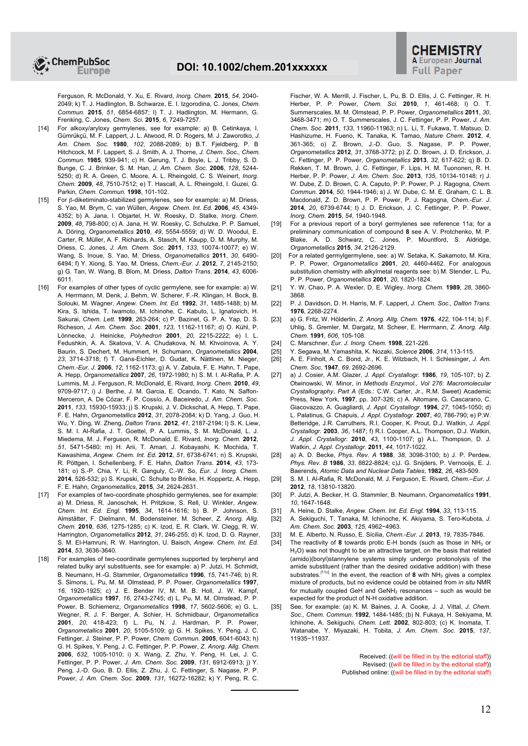Ferguson, R. McDonald, Y. Xu, E. Rivard, *Inorg. Chem.* **2015**, *54*, 2040- 2049; k) T. J. Hadlington, B. Schwarze, E. I. Izgorodina, C. Jones, *Chem. Commun.* **2015**, *51*, 6854-6857; l) T. J. Hadlington, M. Hermann, G. Frenking, C. Jones, *Chem. Sci.* **2015**, *6*, 7249-7257.

- [14] For alkoxy/aryloxy germylenes, see for example: a) B. Cetinkaya, I. Gümrükçü, M. F. Lappert, J. L. Atwood, R. D. Rogers, M. J. Zaworotko, *J. Am. Chem. Soc.* **1980**, *102*, 2088-2089; b) B.T. Fjeldberg, P. B Hitchcock, M. F. Lappert, S. J. Smith, A. J. Thorne, *J. Chem. Soc., Chem. Commun.* **1985**, 939-941; c) H. Gerung, T. J. Boyle, L. J. Tribby, S. D. Bunge, C. J. Brinker, S. M. Han, *J. Am. Chem. Soc.* **2006**, *128*, 5244- 5250; d) R. A. Green, C. Moore, A. L. Rheingold, C. S. Weinert, *Inorg. Chem.* **2009**, *48*, 7510-7512; e) T. Hascall, A. L. Rheingold, I. Guzei, G. Parkin, *Chem. Commun.* **1998**, 101-102.
- [15] For β-diketiminato-stabilized germylenes, see for example: a) M. Driess, S. Yao, M. Brym, C. van Wüllen, *Angew. Chem. Int. Ed.* **2006**, *45*, 4349- 4352; b) A. Jana, I. Objartel, H. W. Roesky, D. Stalke, *Inorg. Chem.*  **2009**, *48*, 798-800; c) A. Jana, H. W. Roesky, C. Schulzke, P. P. Samuel, A. Döring, *Organometallics* **2010**, *49*, 5554-5559; d) W. D. Woodul, E. Carter, R. Müller, A. F. Richards, A. Stasch, M. Kaupp, D. M. Murphy, M. Driess, C. Jones, *J. Am. Chem. Soc.* **2011**, *133*, 10074-10077; e) W. Wang, S. Inoue, S. Yao, M. Driess, *Organometallics* **2011**, *30*, 6490- 6494; f) Y. Xiong, S. Yao, M. Driess, *Chem.-Eur. J.* **2012**, *7*, 2145-2150; g) G. Tan, W. Wang, B. Blom, M. Driess, *Dalton Trans*. **2014**, *43*, 6006- 6011.
- [16] For examples of other types of cyclic germylene, see for example: a) W. A. Herrmann, M. Denk, J. Behm, W. Scherer, F.-R. Klingan, H. Bock, B. Solouki, M. Wagner, *Angew. Chem. Int. Ed.* **1992**, *31*, 1485-1488; b) M. Kira, S. Ishida, T. Iwamoto, M. Ichinohe, C. Kabuto, L. Ignatovich, H. Sakurai, *Chem. Lett.* **1999**, 263-264; c) P. Bazinet, G. P. A. Yap, D. S. Richeson, *J. Am. Chem. Soc.* **2001**, *123*, 11162-11167; d) O. Kühl, P. Lönnecke, J. Heinicke, *Polyhedron* **2001**, *20*, 2215-2222; e) I. L. Fedushkin, A. A. Skatova, V. A. Chudakova, N. M. Khvoinova, A. Y. Baurin, S. Dechert, M. Hummert, H. Schumann, *Organometallics* **2004**, *23*, 3714-3718; f) T. Gans-Eichler, D. Gudat, K. Nättinen, M. Nieger, *Chem.-Eur. J.* **2006**, *12*, 1162-1173; g) A. V. Zabula, F. E. Hahn, T. Pape, A. Hepp, *Organometallics* **2007**, *26*, 1972-1980; h) S. M. I. Al-Rafia, P. A. Lummis, M. J. Ferguson, R. McDonald, E. Rivard, *Inorg. Chem.* **2010**, *49*, 9709-9717; i) J. Berthe, J. M. Garcia, E. Ocando, T. Kato, N. Saffon-Merceron, A. De Cózar, F. P. Cossío, A. Baceiredo, *J. Am. Chem. Soc.*  **2011**, *133*, 15930-15933; j) S. Krupski, J. V. Dickschat, A. Hepp, T. Pape, F. E. Hahn, *Organometallics* **2012**, *31*, 2078-2084; k) D. Yang, J. Guo, H. Wu, Y. Ding, W. Zheng, *Dalton Trans.* **2012**, *41*, 2187-2194; l) S. K. Liew, S. M. I. Al-Rafia, J. T. Goettel, P. A. Lummis, S. M. McDonald, L. J. Miedema, M. J. Ferguson, R. McDonald, E. Rivard, *Inorg. Chem.* **2012**, *51*, 5471-5480; m) H. Arii, T. Amari, J. Kobayashi, K. Mochida, T. Kawashima, *Angew. Chem. Int. Ed.* **2012**, *51*, 6738-6741; n) S. Krupski, R. Pöttgen, I. Schellenberg, F. E. Hahn, *Dalton Trans.* **2014**, *43*, 173- 181; o) S.-P. Chia, Y. Li, R. Ganguly, C.-W. So, *Eur. J. Inorg. Chem.*  **2014**, 526-532; p) S. Krupski, C. Schulte to Brinke, H. Koppertz, A. Hepp, F. E. Hahn, *Organometallics*, **2015**, *34*, 2624-2631.
- [17] For examples of two-coordinate phosphido germylenes, see for example: a) M. Driess, R. Janoschek, H. Pritzkow, S. Rell, U. Winkler, *Angew. Chem. Int. Ed. Engl.* **1995**, *34*, 1614-1616; b) B. P. Johnson, S. Almstätter, F. Dielmann, M. Bodensteiner, M. Scheer, *Z. Anorg. Allg. Chem.* **2010**, *636*, 1275-1285; c) K. Izod, E. R. Clark, W. Clegg, R. W. Harrington, *Organometallics* **2012**, *31*, 246-255; d) K. Izod, D. G. Rayner, S. M. El-Hamruni, R. W. Harrington, U. Baisch, *Angew. Chem. Int. Ed.*  **2014**, *53*, 3636-3640.
- [18] For examples of two-coordinate germylenes supported by terphenyl and related bulky aryl substituents, see for example: a) P. Jutzi, H. Schmidt, B. Neumann, H.-G. Stammler, *Organometallics* **1996**, *15*, 741-746; b) R. S. Simons, L. Pu, M. M. Olmstead, P. P. Power, *Organometallics* **1997**, *16*, 1920-1925; c) J. E. Bender IV, M. M. B. Holl, J. W. Kampf, *Organometallics* **1997**, *16*, 2743-2745; d) L. Pu, M. M. Olmstead, P. P. Power, B. Schiemenz, *Organometallics* **1998**, *17*, 5602-5606; e) G. L. Wegner, R. J. F. Berger, A. Schier, H. Schmidbaur, *Organometallics* **2001**, *20*, 418-423; f) L. Pu, N. J. Hardman, P. P. Power, *Organometallics* **2001**, *20*, 5105-5109; g) G. H. Spikes, Y. Peng, J. C. Fettinger, J. Steiner, P. P. Power, *Chem. Commun.* **2005**, 6041-6043; h) G. H. Spikes, Y. Peng, J. C. Fettinger, P. P. Power, *Z. Anorg. Allg. Chem.*  **2006**, *632*, 1005-1010; i) X. Wang, Z. Zhu, Y. Peng, H. Lei, J. C. Fettinger, P. P. Power, *J. Am. Chem. Soc.* **2009**, *131*, 6912-6913; j) Y. Peng, J.-D. Guo, B. D. Ellis, Z. Zhu, J. C. Fettinger, S. Nagase, P. P. Power, *J. Am. Chem. Soc.* **2009**, *131*, 16272-16282; k) Y. Peng, R. C.

Fischer, W. A. Merrill, J. Fischer, L. Pu, B. D. Ellis, J. C. Fettinger, R. H. Herber, P. P. Power, *Chem. Sci.* **2010**, *1*, 461-468; l) O. T. Summerscales, M. M. Olmstead, P. P. Power, *Organometallics* **2011**, *30*, 3468-3471; m) O. T. Summerscales, J. C. Fettinger, P. P. Power, *J. Am. Chem. Soc.* **2011**, *133*, 11960-11963; n) L. Li, T. Fukawa, T. Matsuo, D. Hashizume, H. Fueno, K. Tanaka, K. Tamao, *Nature Chem.* **2012**, *4*, 361-365; o) Z. Brown, J.-D. Guo, S. Nagase, P. P. Power, *Organometallics* **2012**, *31*, 3768-3772; p) Z. D. Brown, J. D. Erickson, J. C. Fettinger, P. P. Power, *Organometallics* **2013**, *32*, 617-622; q) B. D. Rekken, T. M. Brown, J. C. Fettinger, F. Lips, H. M. Tuononen, R. H. Herber, P. P. Power, *J. Am. Chem. Soc.* **2013**, *135*, 10134-10148; r) J. W. Dube, Z. D. Brown, C. A. Caputo, P. P. Power, P. J. Ragogna, *Chem. Commun.* **2014**, *50*, 1944-1946; s) J. W. Dube, C. M. E. Graham, C. L. B. Macdonald, Z. D. Brown, P. P. Power, P. J. Ragogna, *Chem.-Eur. J.*  **2014**, *20*, 6739-6744; t) J. D. Erickson, J. C. Fettinger, P. P. Power, *Inorg. Chem.* **2015**, *54*, 1940-1948.

- [19] For a previous report of a boryl germylenes see reference 11a; for a preliminary communication of compound **8** see A. V. Protchenko, M. P. Blake, A. D. Schwarz, C. Jones, P. Mountford, S. Aldridge, *Organometallics* **2015**, *34*, 2126-2129.
- [20] For a related germylgermylene, see: a) W. Setaka, K. Sakamoto, M. Kira, P. P. Power, *Organometallics* **2001**, *20*, 4460-4462. For analogous substitution chemistry with alkylmetal reagents see: b) M. Stender, L. Pu, P. P. Power, *Organometallics* **2001**, *20*, 1820-1824.
- [21] Y. W. Chao, P. A. Wexler, D. E. Wigley, *Inorg. Chem.* **1989**, *28*, 3860- 3868.
- [22] P. J. Davidson, D. H. Harris, M. F. Lappert, *J. Chem. Soc., Dalton Trans.*  **1976**, 2268-2274.
- [23] a) G. Fritz, W. Hölderlin, *Z. Anorg. Allg. Chem.* **1976**, *422*, 104-114; b) F. Uhlig, S. Gremler, M. Dargatz, M. Scheer, E. Herrmann, *Z. Anorg. Allg. Chem.* **1991**, *606*, 105-108.
- [24] C. Marschner, *Eur. J. Inorg. Chem.* **1998**, 221-226.
- [25] Y. Segawa, M. Yamashita, K. Nozaki, *Science* **2006**, *314*, 113-115.
- [26] A. E. Finholt, A. C. Bond, Jr., K. E. Wilzbach, H. I. Schlesinger, *J. Am. Chem. Soc*, **1947**, *69*, 2692-2696.
- [27] a) J. Cosier, A.M. Glazer, *J. Appl. Crystallogr.* **1986**, *19*, 105-107; b) Z. Otwinowski, W. Minor, in *Methods Enzymol., Vol 276*: *Macromolecular Crystallography*, *Part A* (Eds.: C.W. Carter, Jr., R.M. Sweet) Academic Press, New York, **1997**, pp. 307-326; c) A. Altomare, G. Cascarano, C. Giacovazzo, A. Guagliardi, *J. Appl. Crystallogr.* **1994**, *27*, 1045-1050; d) L. Palatinus, G. Chapuis, *J. Appl. Crystallogr.* **2007**, *40*, 786-790; e) P.W. Betteridge, J.R. Carruthers, R.I. Cooper, K. Prout, D.J. Watkin, *J. Appl. Crystallogr.* **2003**, *36*, 1487; f) R.I. Cooper, A.L. Thompson, D.J. Watkin, *J. Appl. Crystallogr.* **2010**, *43*, 1100-1107; g) A.L. Thompson, D. J. Watkin, *J. Appl. Crystallogr.* **2011**, *44*, 1017-1022.
- [28] a) A. D. Becke, *Phys. Rev. A* **1988**, *38*, 3098-3100; b) J. P. Perdew, *Phys. Rev. B* **1986**, *33*, 8822-8824; c)J. G. Snijders, P. Vernooijs, E. J. Baerends, *Atomic Data and Nuclear Data Tables*, **1982**, *26*, 483-509.
- [29] S. M. I. Al-Rafia, R. McDonald, M. J. Ferguson, E. Rivard, *Chem.–Eur. J.*  **2012**, *18*, 13810-13820.
- [30] P. Jutzi, A. Becker, H. G. Stammler, B. Neumann, *Organometallics* **1991**, *10*, 1647-1648.
- 
- [31] A. Heine, D. Stalke, *Angew. Chem. Int. Ed. Engl.* **1994**, 33, 113-115. [32] A. Sekiguchi, T. Tanaka, M. Ichinoche, K. Akiyama, S. Tero-Kubot [32] A. Sekiguchi, T. Tanaka, M. Ichinoche, K. Akiyama, S. Tero-Kubota, *J. Am. Chem. Soc.* **2003**, *125*, 4962−4963.
- [33] M. E. Alberto, N. Russo, E. Sicilia, *Chem.-Eur. J.* **2013**, *19*, 7835-7846.
- [34] The reactivity of **8** towards protic E-H bonds (such as those in NH<sup>3</sup> or H<sub>2</sub>O) was not thought to be an attractive target, on the basis that related (amido)(boryl)stannylene systems simply undergo protonolysis of the amide substituent (rather than the desired oxidative addition) with these substrates.<sup>[11c]</sup> In the event, the reaction of 8 with  $NH<sub>3</sub>$  gives a complex mixture of products, but no evidence could be obtained from *in situ* NMR for mutually coupled GeH and  $GeVH<sub>2</sub>$  resonances – such as would be expected for the product of N-H oxidative addition.
- [35] See, for example: (a) K. M. Baines, J. A. Cooke, J. J. Vittal, *J. Chem. Soc., Chem. Commun.* **1992**, 1484-1485; (b) N. Fukaya, H. Sekiyama, M. Ichinohe, A. Sekiguchi, *Chem. Lett.* **2002**, 802-803; (c) K. Inomata, T. Watanabe, Y. Miyazaki, H. Tobita, *J. Am. Chem. Soc.* **2015**, *137*, 11935−11937*.*

Received: ((will be filled in by the editorial staff)) Revised: ((will be filled in by the editorial staff)) Published online: ((will be filled in by the editorial staff)